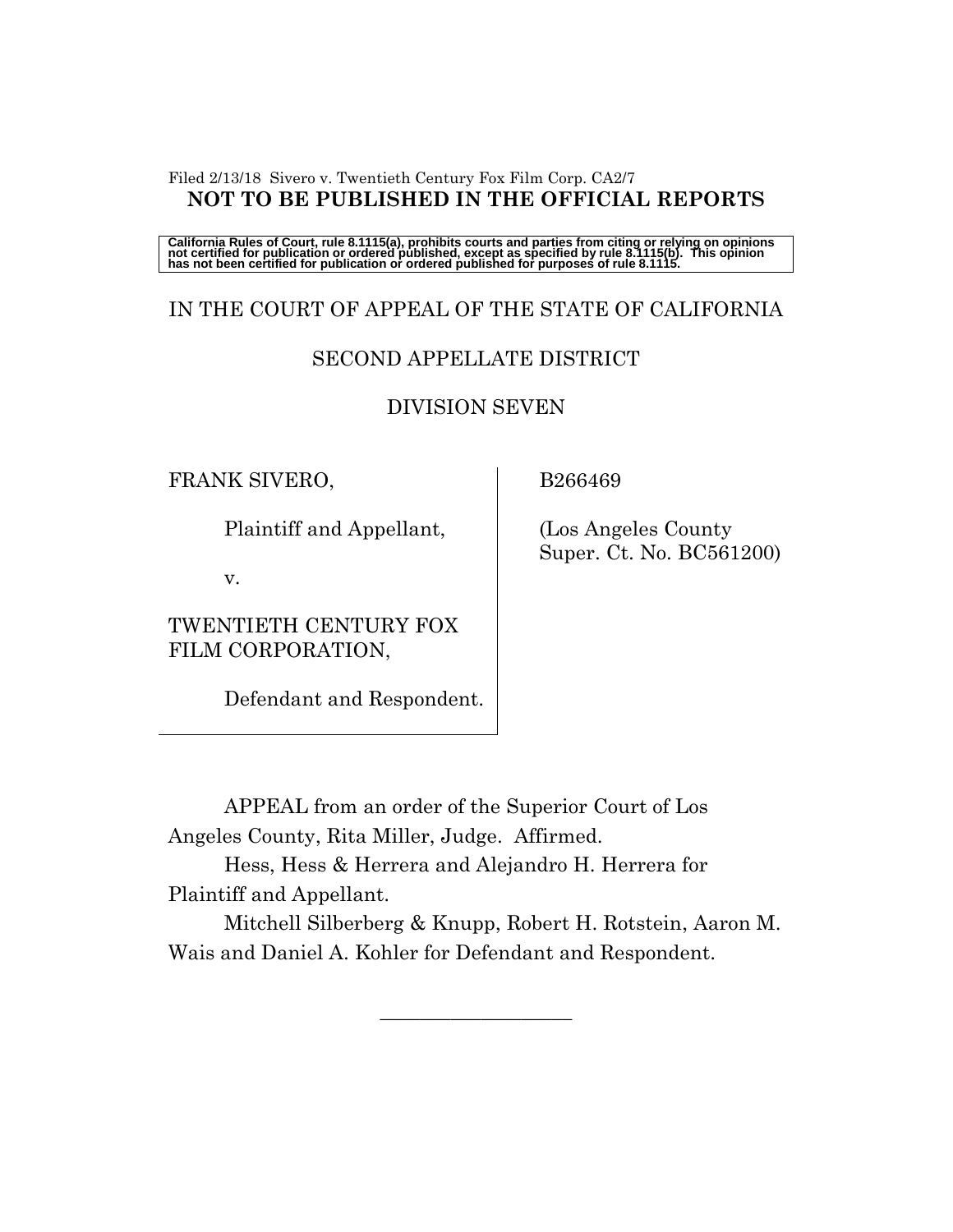#### Filed 2/13/18 Sivero v. Twentieth Century Fox Film Corp. CA2/7 **NOT TO BE PUBLISHED IN THE OFFICIAL REPORTS**

California Rules of Court, rule 8.1115(a), prohibits courts and parties from citing or relying on opinions<br>not certified for publication or ordered published, except as specified by rule 8.1115(b). This opinion<br>has not be

# IN THE COURT OF APPEAL OF THE STATE OF CALIFORNIA

# SECOND APPELLATE DISTRICT

#### DIVISION SEVEN

FRANK SIVERO,

Plaintiff and Appellant,

v.

TWENTIETH CENTURY FOX FILM CORPORATION,

Defendant and Respondent.

B266469

 (Los Angeles County Super. Ct. No. BC561200)

APPEAL from an order of the Superior Court of Los Angeles County, Rita Miller, Judge. Affirmed.

Hess, Hess & Herrera and Alejandro H. Herrera for Plaintiff and Appellant.

Mitchell Silberberg & Knupp, Robert H. Rotstein, Aaron M. Wais and Daniel A. Kohler for Defendant and Respondent.

 $\frac{1}{2}$  ,  $\frac{1}{2}$  ,  $\frac{1}{2}$  ,  $\frac{1}{2}$  ,  $\frac{1}{2}$  ,  $\frac{1}{2}$  ,  $\frac{1}{2}$  ,  $\frac{1}{2}$  ,  $\frac{1}{2}$  ,  $\frac{1}{2}$  ,  $\frac{1}{2}$  ,  $\frac{1}{2}$  ,  $\frac{1}{2}$  ,  $\frac{1}{2}$  ,  $\frac{1}{2}$  ,  $\frac{1}{2}$  ,  $\frac{1}{2}$  ,  $\frac{1}{2}$  ,  $\frac{1$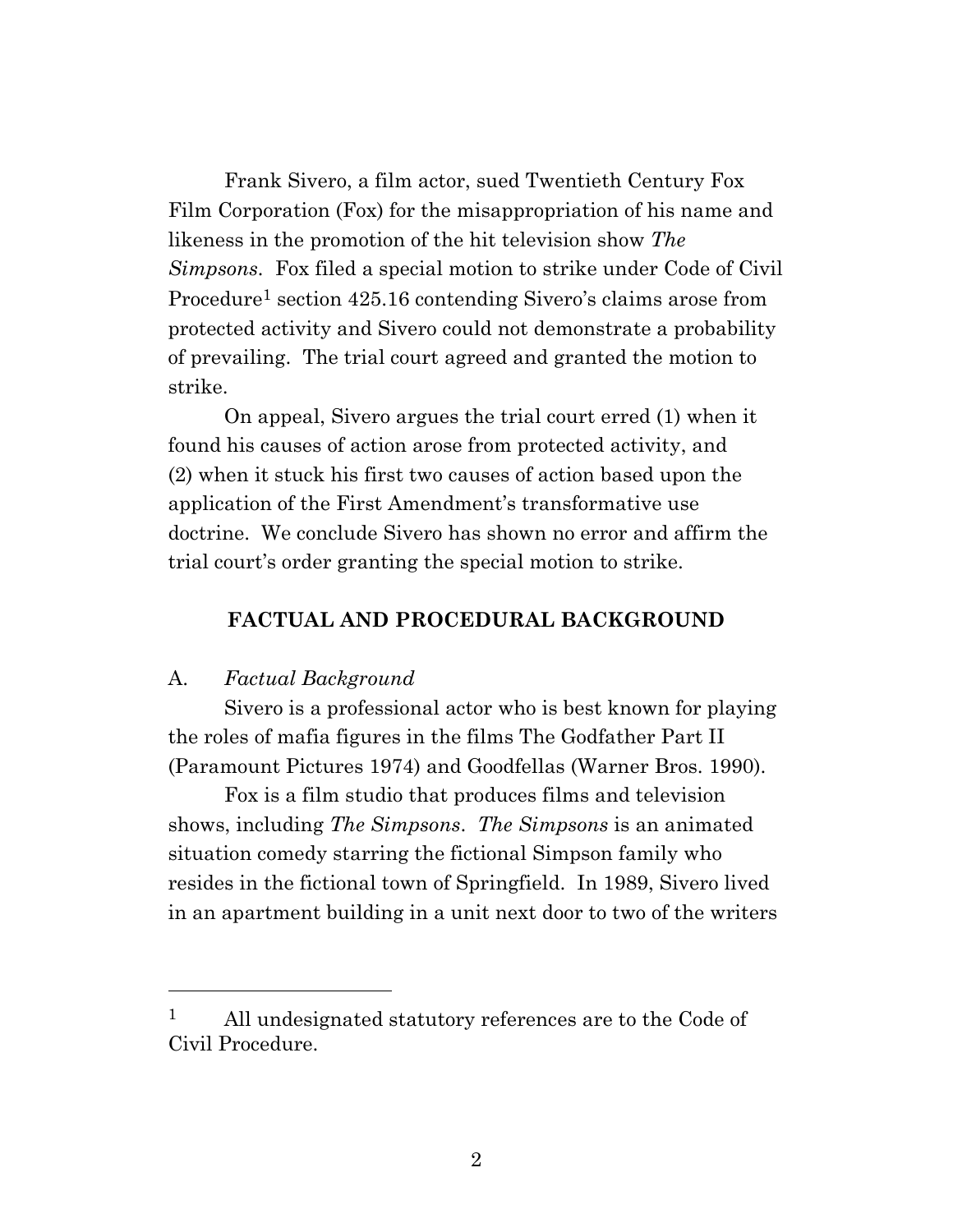Frank Sivero, a film actor, sued Twentieth Century Fox Film Corporation (Fox) for the misappropriation of his name and likeness in the promotion of the hit television show *The Simpsons.* Fox filed a special motion to strike under Code of Civil Procedure<sup>1</sup> section 425.16 contending Sivero's claims arose from protected activity and Sivero could not demonstrate a probability of prevailing. The trial court agreed and granted the motion to strike.

On appeal, Sivero argues the trial court erred (1) when it found his causes of action arose from protected activity, and (2) when it stuck his first two causes of action based upon the application of the First Amendment's transformative use doctrine. We conclude Sivero has shown no error and affirm the trial court's order granting the special motion to strike.

#### **FACTUAL AND PROCEDURAL BACKGROUND**

#### A. *Factual Background*

Sivero is a professional actor who is best known for playing the roles of mafia figures in the films The Godfather Part II (Paramount Pictures 1974) and Goodfellas (Warner Bros. 1990).

Fox is a film studio that produces films and television shows, including *The Simpsons*. *The Simpsons* is an animated situation comedy starring the fictional Simpson family who resides in the fictional town of Springfield. In 1989, Sivero lived in an apartment building in a unit next door to two of the writers

<sup>&</sup>lt;sup>1</sup> All undesignated statutory references are to the Code of Civil Procedure.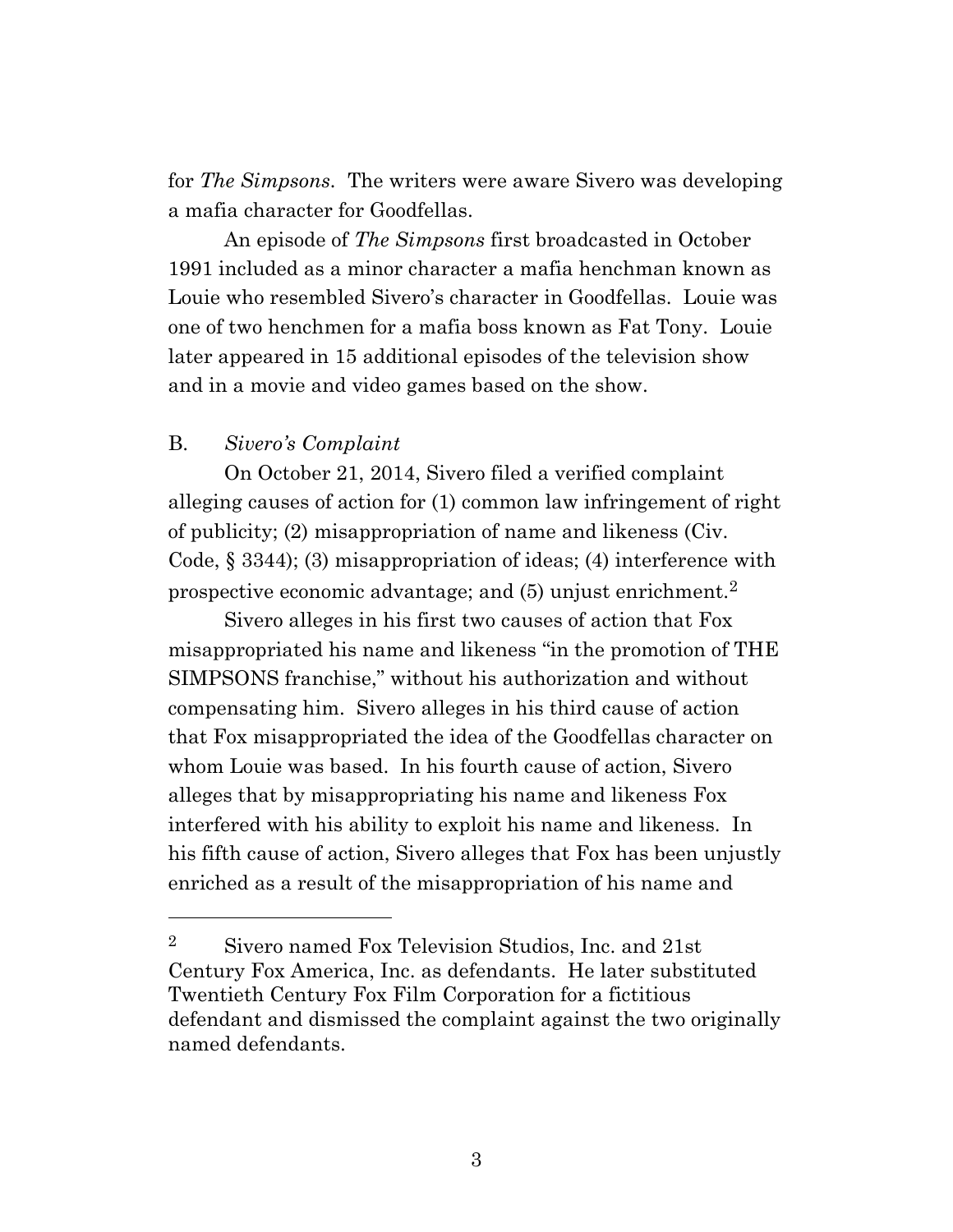for *The Simpsons.* The writers were aware Sivero was developing a mafia character for Goodfellas.

An episode of *The Simpsons* first broadcasted in October 1991 included as a minor character a mafia henchman known as Louie who resembled Sivero's character in Goodfellas. Louie was one of two henchmen for a mafia boss known as Fat Tony. Louie later appeared in 15 additional episodes of the television show and in a movie and video games based on the show.

### B. *Sivero's Complaint*

On October 21, 2014, Sivero filed a verified complaint alleging causes of action for (1) common law infringement of right of publicity; (2) misappropriation of name and likeness (Civ. Code, § 3344); (3) misappropriation of ideas; (4) interference with prospective economic advantage; and (5) unjust enrichment.<sup>2</sup>

Sivero alleges in his first two causes of action that Fox misappropriated his name and likeness "in the promotion of THE SIMPSONS franchise," without his authorization and without compensating him. Sivero alleges in his third cause of action that Fox misappropriated the idea of the Goodfellas character on whom Louie was based. In his fourth cause of action, Sivero alleges that by misappropriating his name and likeness Fox interfered with his ability to exploit his name and likeness. In his fifth cause of action, Sivero alleges that Fox has been unjustly enriched as a result of the misappropriation of his name and

<sup>&</sup>lt;sup>2</sup> Sivero named Fox Television Studios, Inc. and  $21st$ Century Fox America, Inc. as defendants. He later substituted Twentieth Century Fox Film Corporation for a fictitious defendant and dismissed the complaint against the two originally named defendants.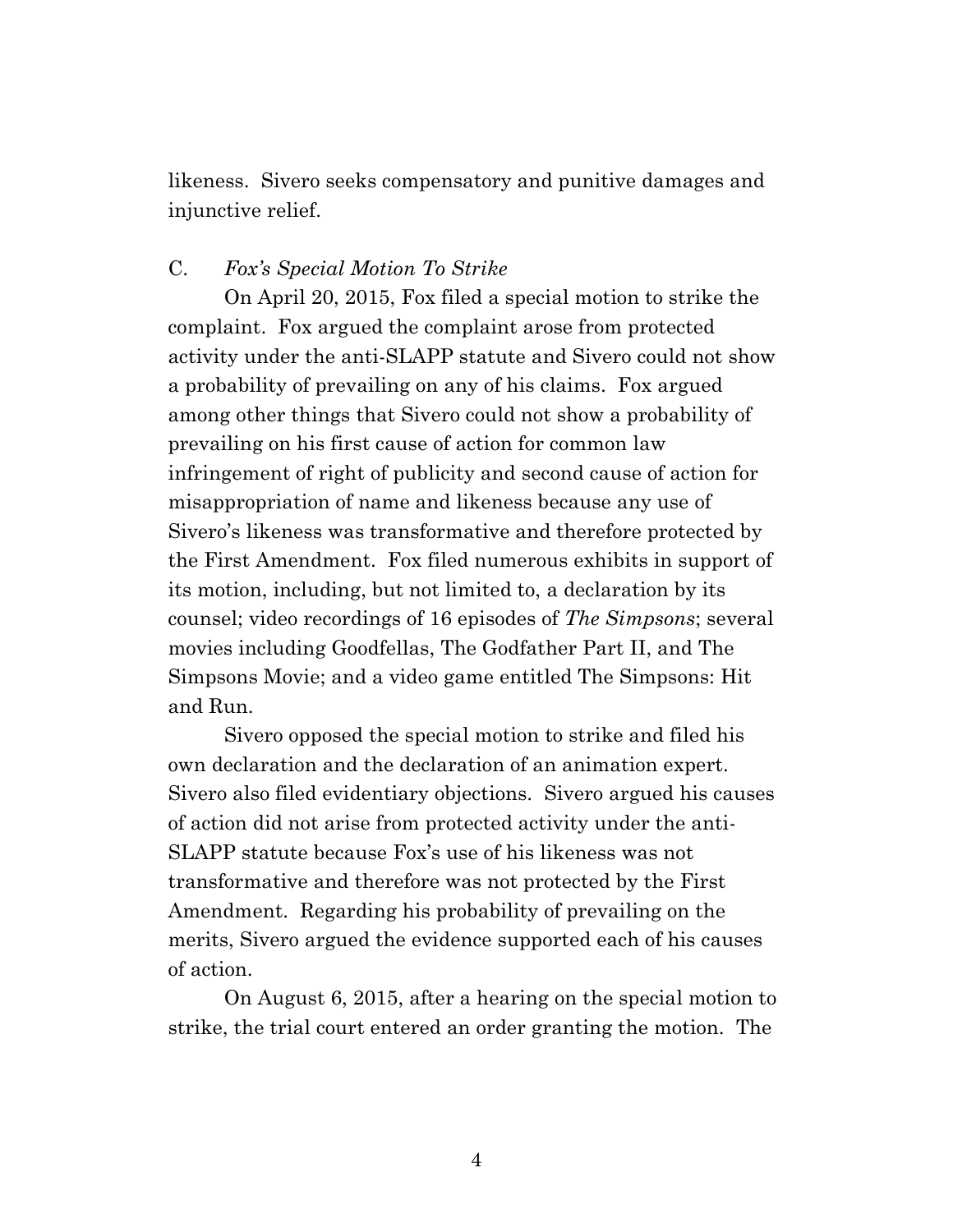likeness. Sivero seeks compensatory and punitive damages and injunctive relief.

#### C. *Fox's Special Motion To Strike*

On April 20, 2015, Fox filed a special motion to strike the complaint. Fox argued the complaint arose from protected activity under the anti-SLAPP statute and Sivero could not show a probability of prevailing on any of his claims. Fox argued among other things that Sivero could not show a probability of prevailing on his first cause of action for common law infringement of right of publicity and second cause of action for misappropriation of name and likeness because any use of Sivero's likeness was transformative and therefore protected by the First Amendment. Fox filed numerous exhibits in support of its motion, including, but not limited to, a declaration by its counsel; video recordings of 16 episodes of *The Simpsons*; several movies including Goodfellas, The Godfather Part II, and The Simpsons Movie; and a video game entitled The Simpsons: Hit and Run.

Sivero opposed the special motion to strike and filed his own declaration and the declaration of an animation expert. Sivero also filed evidentiary objections. Sivero argued his causes of action did not arise from protected activity under the anti-SLAPP statute because Fox's use of his likeness was not transformative and therefore was not protected by the First Amendment. Regarding his probability of prevailing on the merits, Sivero argued the evidence supported each of his causes of action.

On August 6, 2015, after a hearing on the special motion to strike, the trial court entered an order granting the motion. The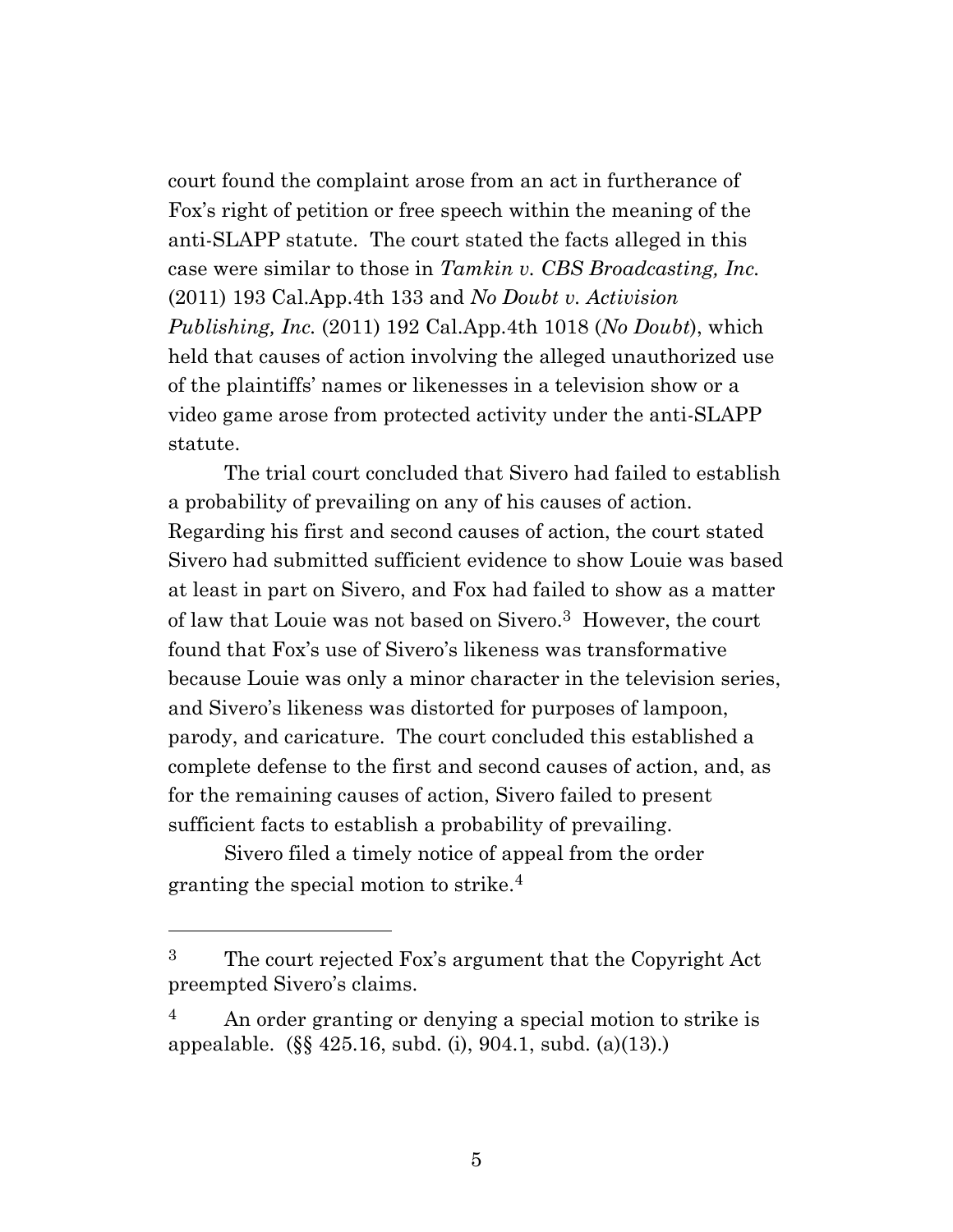court found the complaint arose from an act in furtherance of Fox's right of petition or free speech within the meaning of the anti-SLAPP statute. The court stated the facts alleged in this case were similar to those in *Tamkin v. CBS Broadcasting, Inc.*  (2011) 193 Cal.App.4th 133 and *No Doubt v. Activision Publishing, Inc.* (2011) 192 Cal.App.4th 1018 (*No Doubt*), which held that causes of action involving the alleged unauthorized use of the plaintiffs' names or likenesses in a television show or a video game arose from protected activity under the anti-SLAPP statute.

The trial court concluded that Sivero had failed to establish a probability of prevailing on any of his causes of action. Regarding his first and second causes of action, the court stated Sivero had submitted sufficient evidence to show Louie was based at least in part on Sivero, and Fox had failed to show as a matter of law that Louie was not based on Sivero. <sup>3</sup> However, the court found that Fox's use of Sivero's likeness was transformative because Louie was only a minor character in the television series, and Sivero's likeness was distorted for purposes of lampoon, parody, and caricature. The court concluded this established a complete defense to the first and second causes of action, and, as for the remaining causes of action, Sivero failed to present sufficient facts to establish a probability of prevailing.

Sivero filed a timely notice of appeal from the order granting the special motion to strike.<sup>4</sup>

<sup>3</sup> The court rejected Fox's argument that the Copyright Act preempted Sivero's claims.

 $4$  An order granting or denying a special motion to strike is appealable. (§§ 425.16, subd. (i), 904.1, subd. (a)(13).)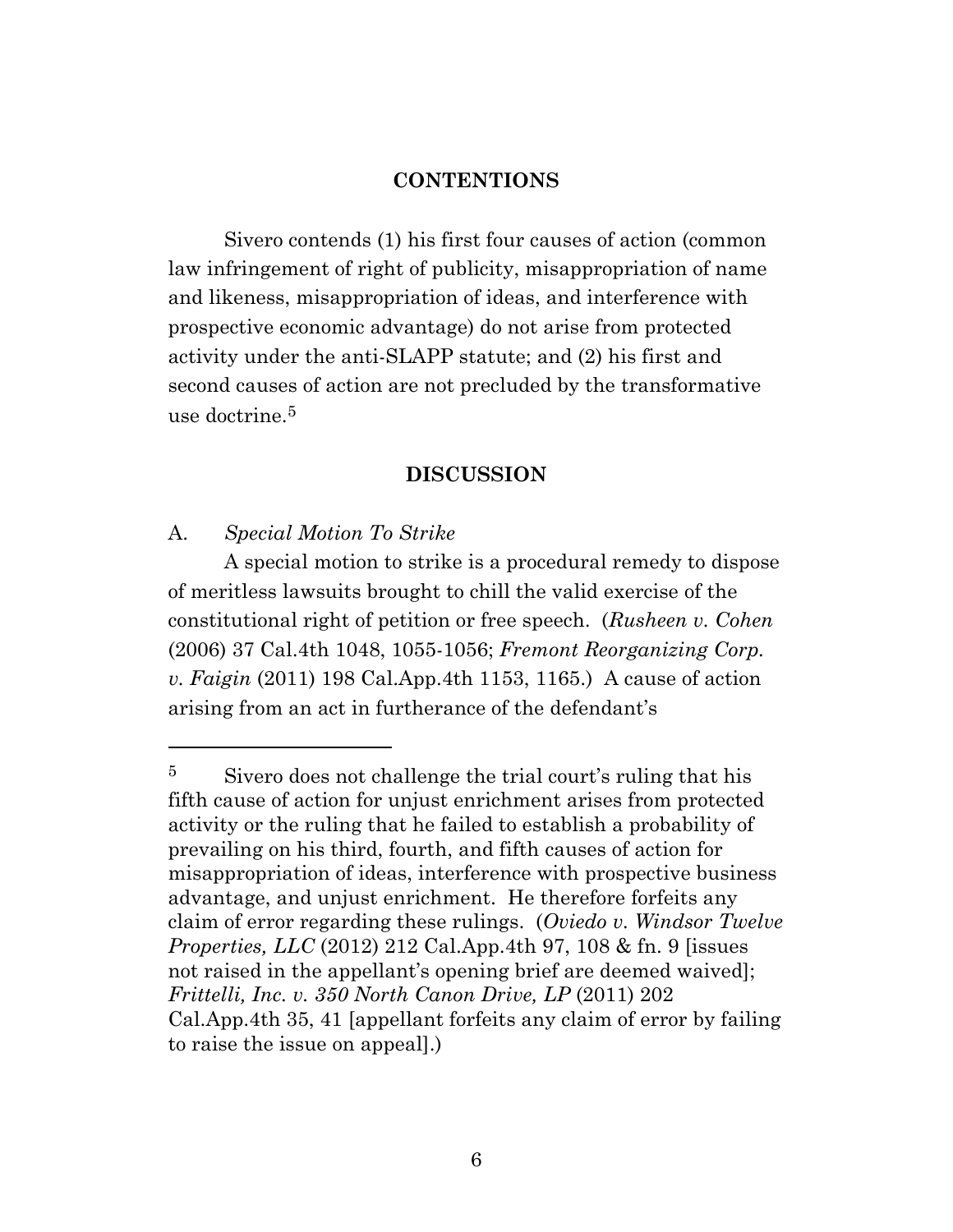#### **CONTENTIONS**

Sivero contends (1) his first four causes of action (common law infringement of right of publicity, misappropriation of name and likeness, misappropriation of ideas, and interference with prospective economic advantage) do not arise from protected activity under the anti-SLAPP statute; and (2) his first and second causes of action are not precluded by the transformative use doctrine. $5$ 

#### **DISCUSSION**

A. *Special Motion To Strike*

A special motion to strike is a procedural remedy to dispose of meritless lawsuits brought to chill the valid exercise of the constitutional right of petition or free speech. (*Rusheen v. Cohen* (2006) 37 Cal.4th 1048, 1055-1056; *Fremont Reorganizing Corp. v. Faigin* (2011) 198 Cal.App.4th 1153, 1165.) A cause of action arising from an act in furtherance of the defendant's

<sup>&</sup>lt;sup>5</sup> Sivero does not challenge the trial court's ruling that his fifth cause of action for unjust enrichment arises from protected activity or the ruling that he failed to establish a probability of prevailing on his third, fourth, and fifth causes of action for misappropriation of ideas, interference with prospective business advantage, and unjust enrichment. He therefore forfeits any claim of error regarding these rulings. (*Oviedo v. Windsor Twelve Properties, LLC* (2012) 212 Cal.App.4th 97, 108 & fn. 9 [issues not raised in the appellant's opening brief are deemed waived]; *Frittelli, Inc. v. 350 North Canon Drive, LP* (2011) 202 Cal.App.4th 35, 41 [appellant forfeits any claim of error by failing to raise the issue on appeal].)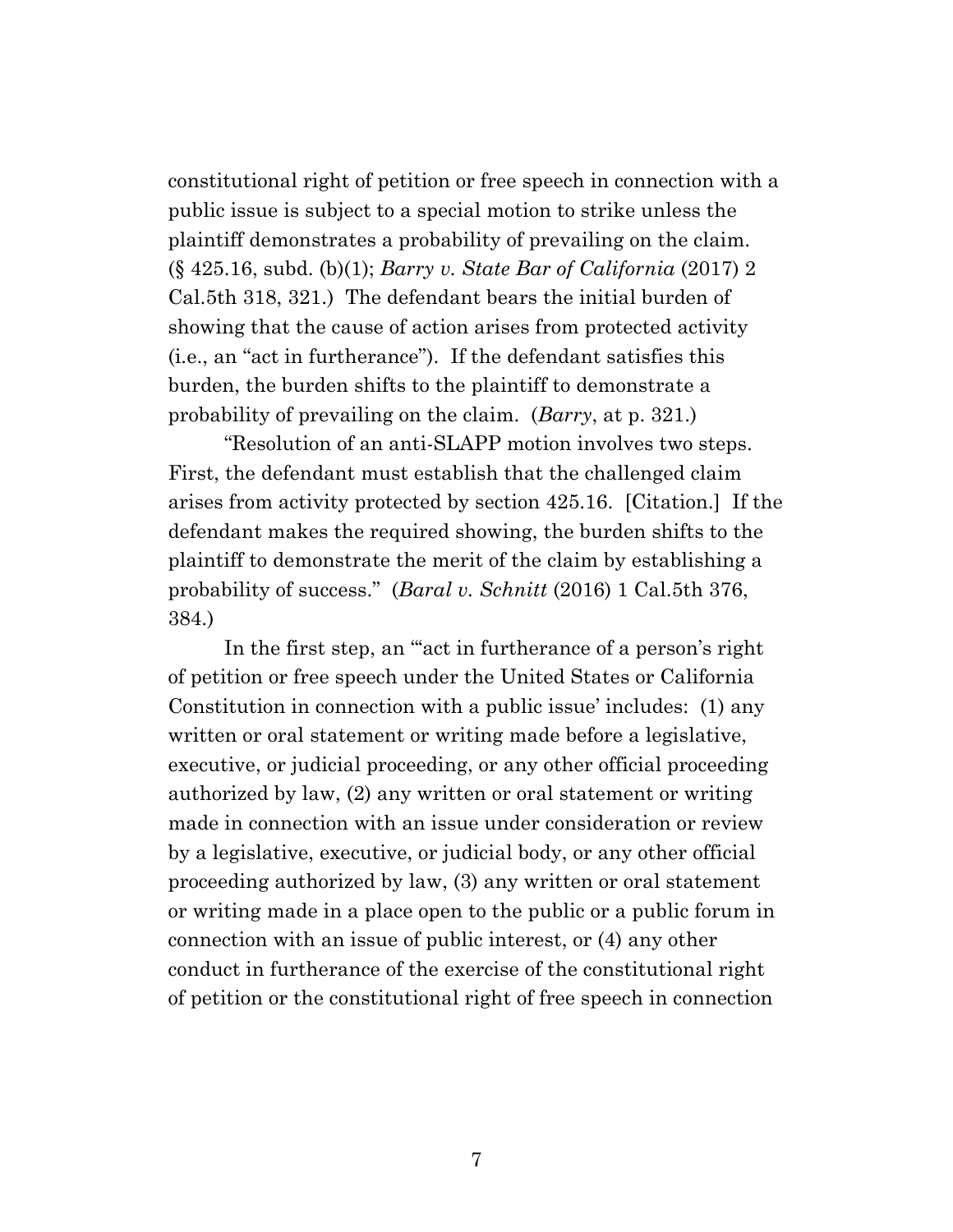constitutional right of petition or free speech in connection with a public issue is subject to a special motion to strike unless the plaintiff demonstrates a probability of prevailing on the claim. (§ 425.16, subd. (b)(1); *Barry v. State Bar of California* (2017) 2 Cal.5th 318, 321.) The defendant bears the initial burden of showing that the cause of action arises from protected activity (i.e., an "act in furtherance"). If the defendant satisfies this burden, the burden shifts to the plaintiff to demonstrate a probability of prevailing on the claim. (*Barry*, at p. 321.)

"Resolution of an anti-SLAPP motion involves two steps. First, the defendant must establish that the challenged claim arises from activity protected by section 425.16. [Citation.] If the defendant makes the required showing, the burden shifts to the plaintiff to demonstrate the merit of the claim by establishing a probability of success." (*Baral v. Schnitt* (2016) 1 Cal.5th 376, 384.)

In the first step, an ""act in furtherance of a person's right of petition or free speech under the United States or California Constitution in connection with a public issue' includes: (1) any written or oral statement or writing made before a legislative, executive, or judicial proceeding, or any other official proceeding authorized by law, (2) any written or oral statement or writing made in connection with an issue under consideration or review by a legislative, executive, or judicial body, or any other official proceeding authorized by law, (3) any written or oral statement or writing made in a place open to the public or a public forum in connection with an issue of public interest, or (4) any other conduct in furtherance of the exercise of the constitutional right of petition or the constitutional right of free speech in connection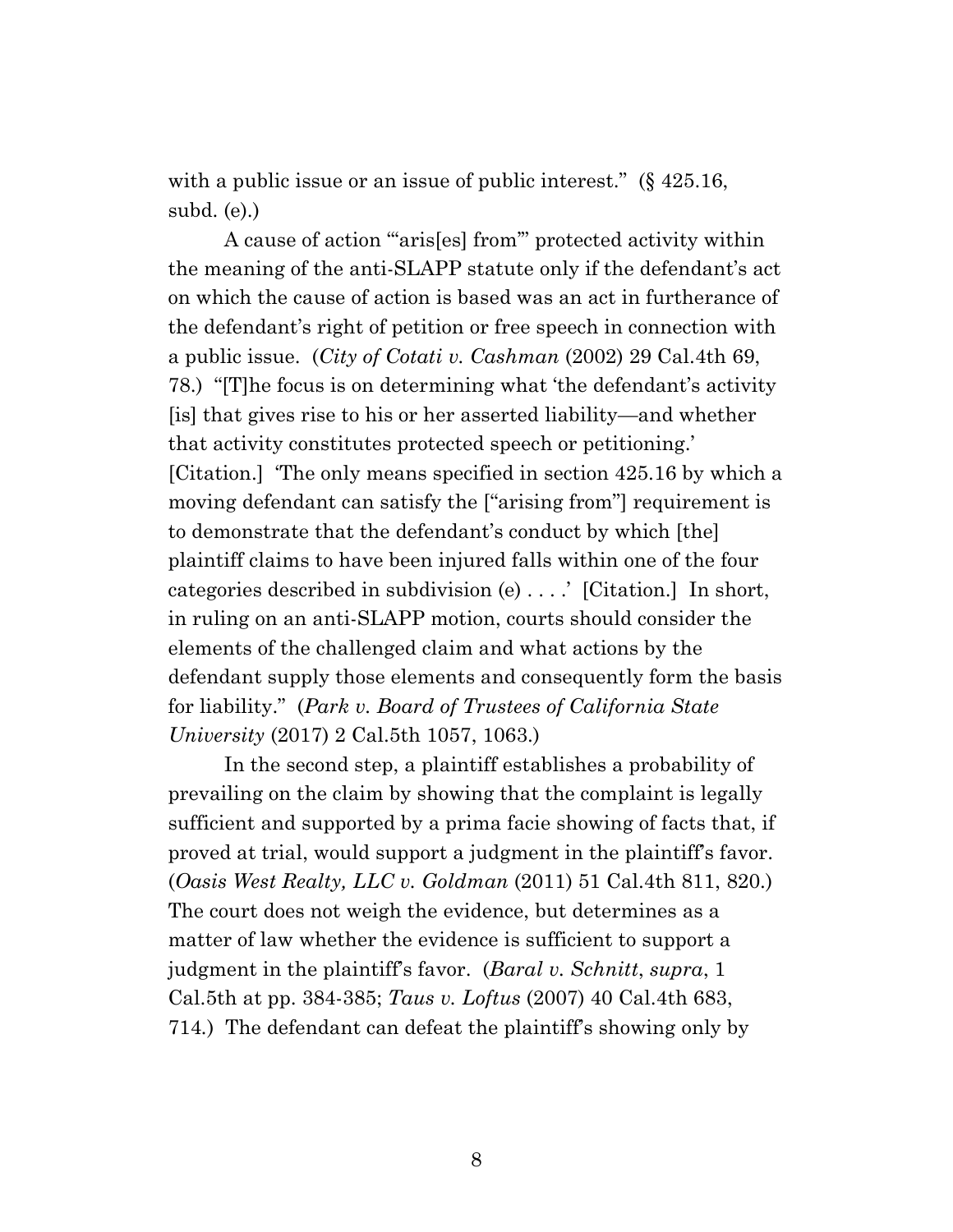with a public issue or an issue of public interest." (§ 425.16, subd. (e).)

A cause of action "aris[es] from" protected activity within the meaning of the anti-SLAPP statute only if the defendant's act on which the cause of action is based was an act in furtherance of the defendant's right of petition or free speech in connection with a public issue. (*City of Cotati v. Cashman* (2002) 29 Cal.4th 69, 78.) "[T]he focus is on determining what 'the defendant's activity [is] that gives rise to his or her asserted liability—and whether that activity constitutes protected speech or petitioning.' [Citation.] 'The only means specified in section 425.16 by which a moving defendant can satisfy the ["arising from"] requirement is to demonstrate that the defendant's conduct by which [the] plaintiff claims to have been injured falls within one of the four categories described in subdivision (e) . . . .' [Citation.] In short, in ruling on an anti-SLAPP motion, courts should consider the elements of the challenged claim and what actions by the defendant supply those elements and consequently form the basis for liability." (*Park v. Board of Trustees of California State University* (2017) 2 Cal.5th 1057, 1063.)

In the second step, a plaintiff establishes a probability of prevailing on the claim by showing that the complaint is legally sufficient and supported by a prima facie showing of facts that, if proved at trial, would support a judgment in the plaintiff's favor. (*Oasis West Realty, LLC v. Goldman* (2011) 51 Cal.4th 811, 820.) The court does not weigh the evidence, but determines as a matter of law whether the evidence is sufficient to support a judgment in the plaintiff's favor. (*Baral v. Schnitt*, *supra*, 1 Cal.5th at pp. 384-385; *Taus v. Loftus* (2007) 40 Cal.4th 683, 714*.*) The defendant can defeat the plaintiff's showing only by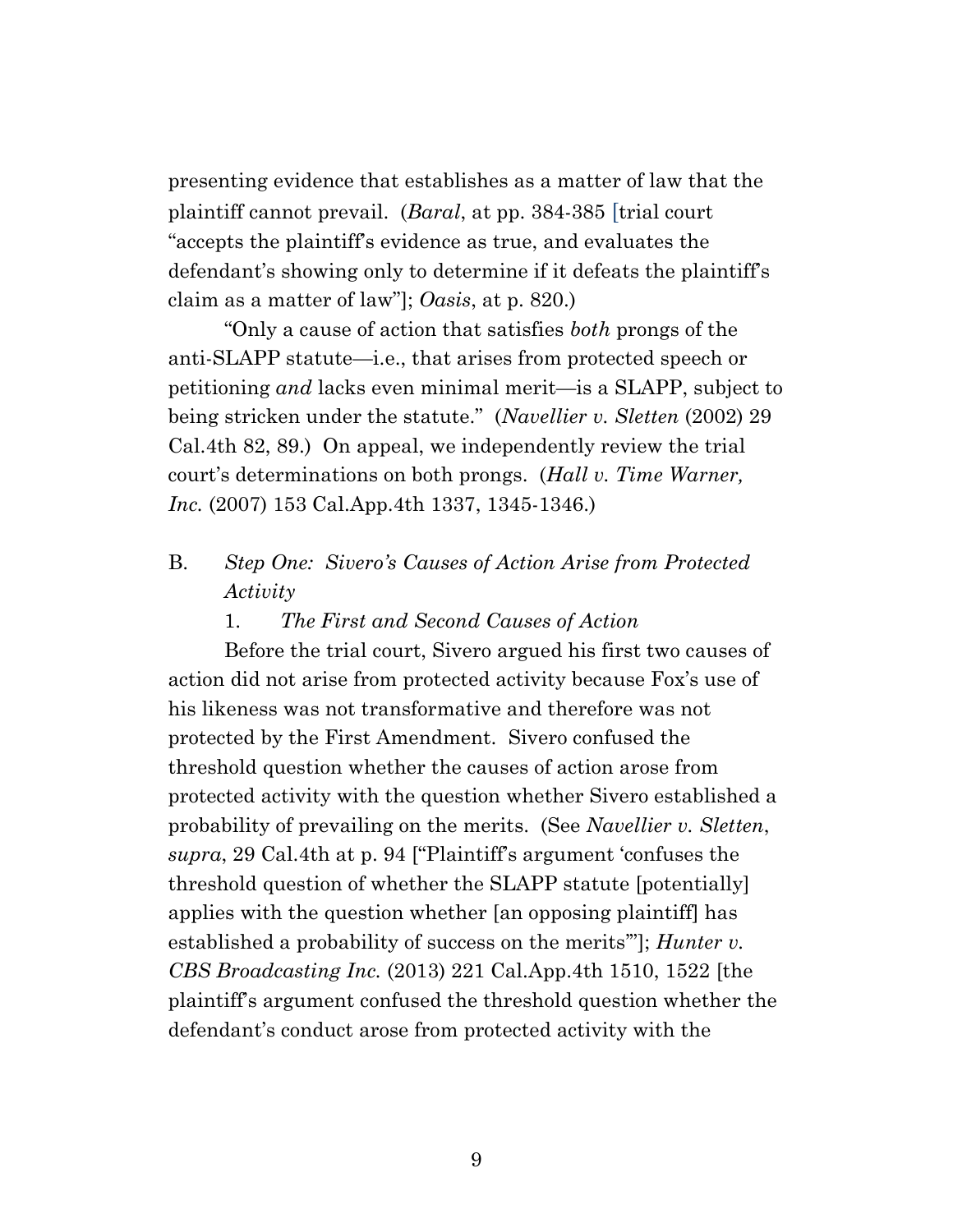presenting evidence that establishes as a matter of law that the plaintiff cannot prevail. (*Baral*, at pp. 384-385 [trial court "accepts the plaintiff's evidence as true, and evaluates the defendant's showing only to determine if it defeats the plaintiff's claim as a matter of law"]; *Oasis*, at p. 820.)

"Only a cause of action that satisfies *both* prongs of the anti-SLAPP statute—i.e., that arises from protected speech or petitioning *and* lacks even minimal merit—is a SLAPP, subject to being stricken under the statute." (*Navellier v. Sletten* (2002) 29 Cal.4th 82, 89.) On appeal, we independently review the trial court's determinations on both prongs. (*Hall v. Time Warner, Inc.* (2007) 153 Cal.App.4th 1337, 1345-1346.)

- B. *Step One: Sivero's Causes of Action Arise from Protected Activity*
	- 1. *The First and Second Causes of Action*

Before the trial court, Sivero argued his first two causes of action did not arise from protected activity because Fox's use of his likeness was not transformative and therefore was not protected by the First Amendment. Sivero confused the threshold question whether the causes of action arose from protected activity with the question whether Sivero established a probability of prevailing on the merits. (See *Navellier v. Sletten*, *supra*, 29 Cal.4th at p. 94 ["Plaintiff's argument 'confuses the threshold question of whether the SLAPP statute [potentially] applies with the question whether [an opposing plaintiff] has established a probability of success on the merits'"]; *Hunter v. CBS Broadcasting Inc.* (2013) 221 Cal.App.4th 1510, 1522 [the plaintiff's argument confused the threshold question whether the defendant's conduct arose from protected activity with the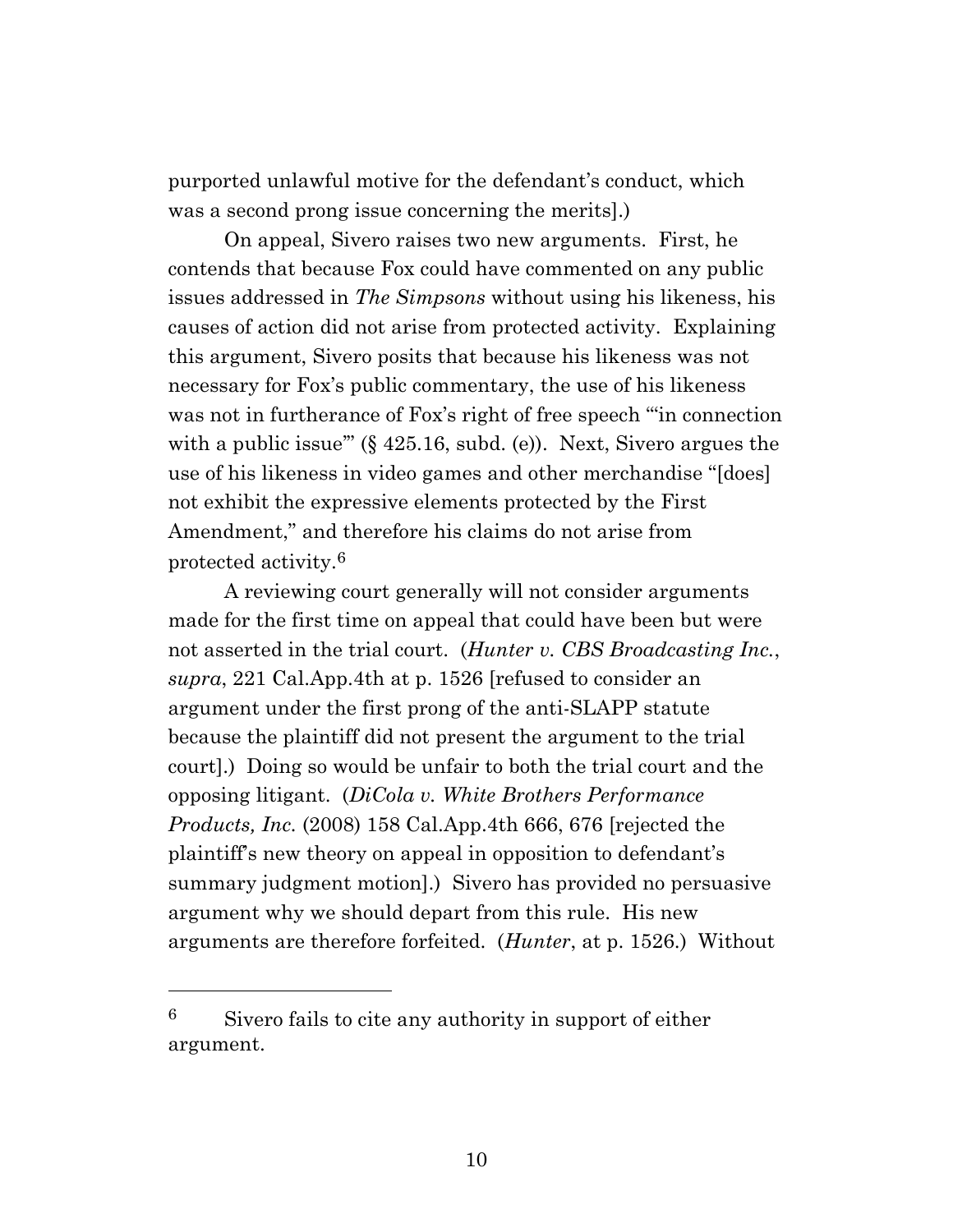purported unlawful motive for the defendant's conduct, which was a second prong issue concerning the merits].)

On appeal, Sivero raises two new arguments. First, he contends that because Fox could have commented on any public issues addressed in *The Simpsons* without using his likeness, his causes of action did not arise from protected activity. Explaining this argument, Sivero posits that because his likeness was not necessary for Fox's public commentary, the use of his likeness was not in furtherance of Fox's right of free speech "'in connection with a public issue"  $(\S 425.16, \text{subd. (e)})$ . Next, Sivero argues the use of his likeness in video games and other merchandise "[does] not exhibit the expressive elements protected by the First Amendment," and therefore his claims do not arise from protected activity.<sup>6</sup>

A reviewing court generally will not consider arguments made for the first time on appeal that could have been but were not asserted in the trial court. (*Hunter v. CBS Broadcasting Inc.*, *supra*, 221 Cal.App.4th at p. 1526 [refused to consider an argument under the first prong of the anti-SLAPP statute because the plaintiff did not present the argument to the trial court].) Doing so would be unfair to both the trial court and the opposing litigant. (*DiCola v. White Brothers Performance Products, Inc.* (2008) 158 Cal.App.4th 666, 676 [rejected the plaintiff's new theory on appeal in opposition to defendant's summary judgment motion].) Sivero has provided no persuasive argument why we should depart from this rule. His new arguments are therefore forfeited. (*Hunter*, at p. 1526.) Without

 $6$  Sivero fails to cite any authority in support of either argument.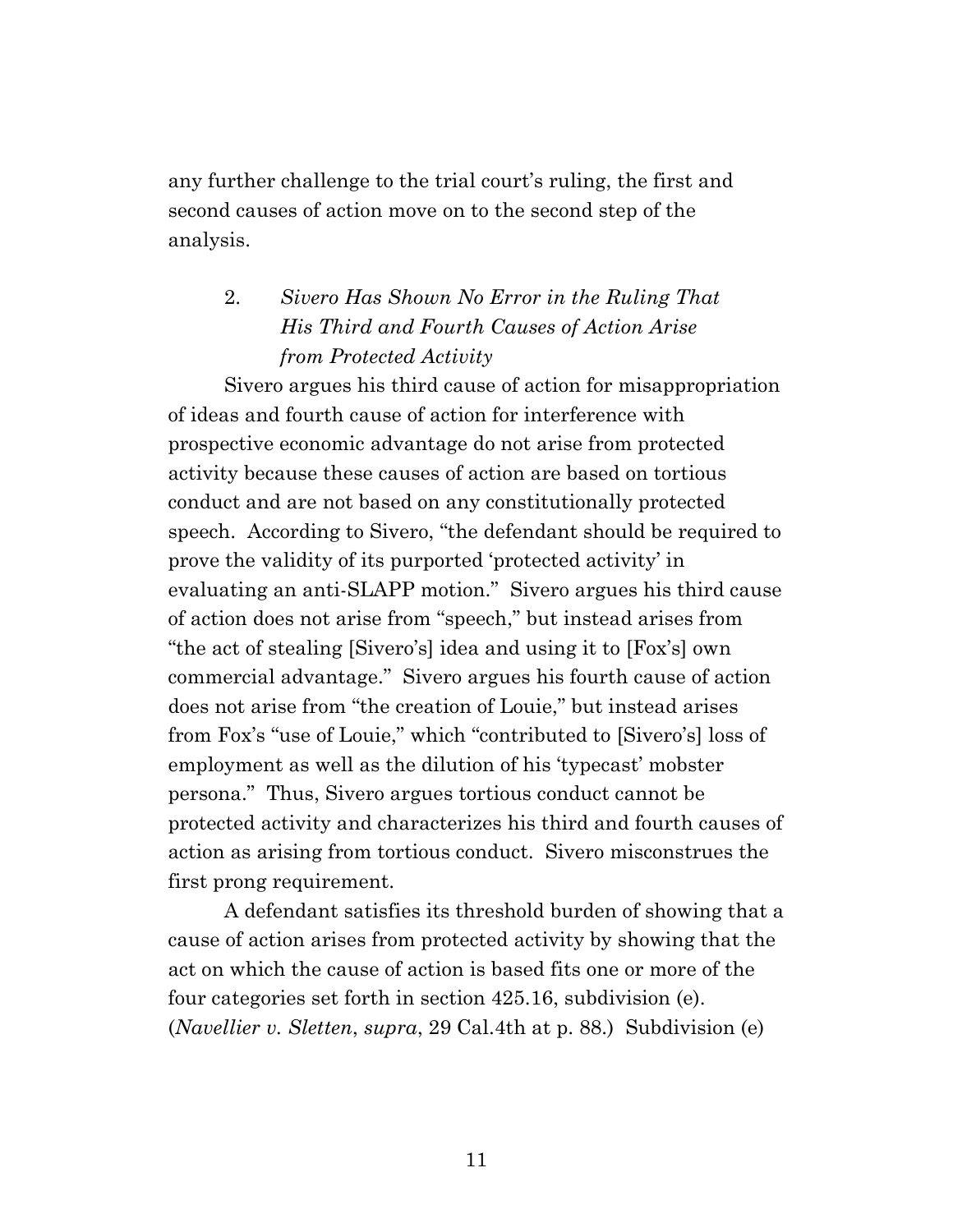any further challenge to the trial court's ruling, the first and second causes of action move on to the second step of the analysis.

# 2. *Sivero Has Shown No Error in the Ruling That His Third and Fourth Causes of Action Arise from Protected Activity*

Sivero argues his third cause of action for misappropriation of ideas and fourth cause of action for interference with prospective economic advantage do not arise from protected activity because these causes of action are based on tortious conduct and are not based on any constitutionally protected speech. According to Sivero, "the defendant should be required to prove the validity of its purported 'protected activity' in evaluating an anti-SLAPP motion." Sivero argues his third cause of action does not arise from "speech," but instead arises from "the act of stealing [Sivero's] idea and using it to [Fox's] own commercial advantage." Sivero argues his fourth cause of action does not arise from "the creation of Louie," but instead arises from Fox's "use of Louie," which "contributed to [Sivero's] loss of employment as well as the dilution of his 'typecast' mobster persona." Thus, Sivero argues tortious conduct cannot be protected activity and characterizes his third and fourth causes of action as arising from tortious conduct. Sivero misconstrues the first prong requirement.

A defendant satisfies its threshold burden of showing that a cause of action arises from protected activity by showing that the act on which the cause of action is based fits one or more of the four categories set forth in section 425.16, subdivision (e). (*Navellier v. Sletten*, *supra*, 29 Cal.4th at p. 88.) Subdivision (e)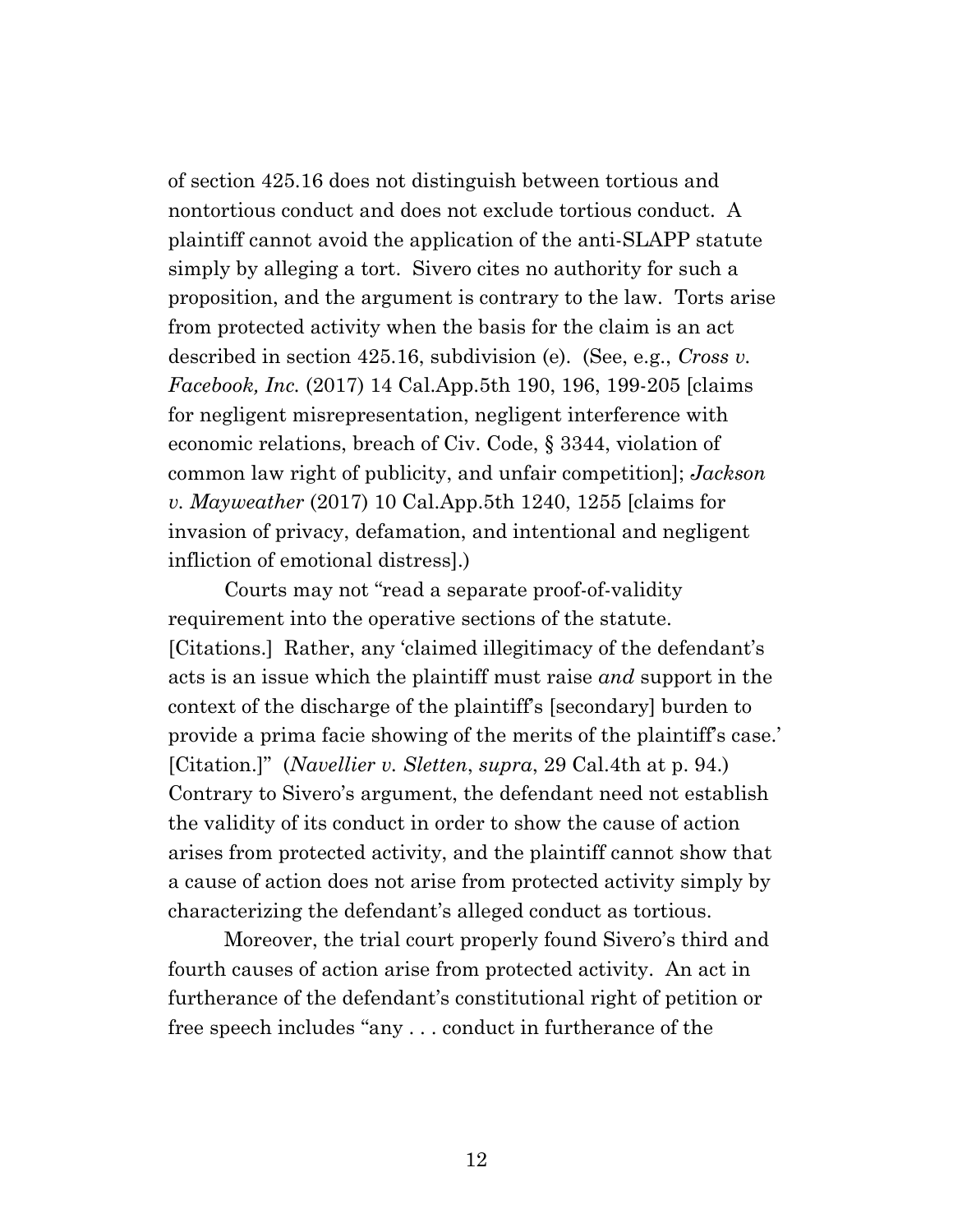of section 425.16 does not distinguish between tortious and nontortious conduct and does not exclude tortious conduct. A plaintiff cannot avoid the application of the anti-SLAPP statute simply by alleging a tort. Sivero cites no authority for such a proposition, and the argument is contrary to the law. Torts arise from protected activity when the basis for the claim is an act described in section 425.16, subdivision (e). (See, e.g., *Cross v. Facebook, Inc.* (2017) 14 Cal.App.5th 190, 196, 199-205 [claims for negligent misrepresentation, negligent interference with economic relations, breach of Civ. Code, § 3344, violation of common law right of publicity, and unfair competition]; *Jackson v. Mayweather* (2017) 10 Cal.App.5th 1240, 1255 [claims for invasion of privacy, defamation, and intentional and negligent infliction of emotional distress].)

Courts may not "read a separate proof-of-validity requirement into the operative sections of the statute. [Citations.] Rather, any 'claimed illegitimacy of the defendant's acts is an issue which the plaintiff must raise *and* support in the context of the discharge of the plaintiff's [secondary] burden to provide a prima facie showing of the merits of the plaintiff's case.' [Citation.]" (*Navellier v. Sletten*, *supra*, 29 Cal.4th at p. 94.) Contrary to Sivero's argument, the defendant need not establish the validity of its conduct in order to show the cause of action arises from protected activity, and the plaintiff cannot show that a cause of action does not arise from protected activity simply by characterizing the defendant's alleged conduct as tortious.

Moreover, the trial court properly found Sivero's third and fourth causes of action arise from protected activity. An act in furtherance of the defendant's constitutional right of petition or free speech includes "any . . . conduct in furtherance of the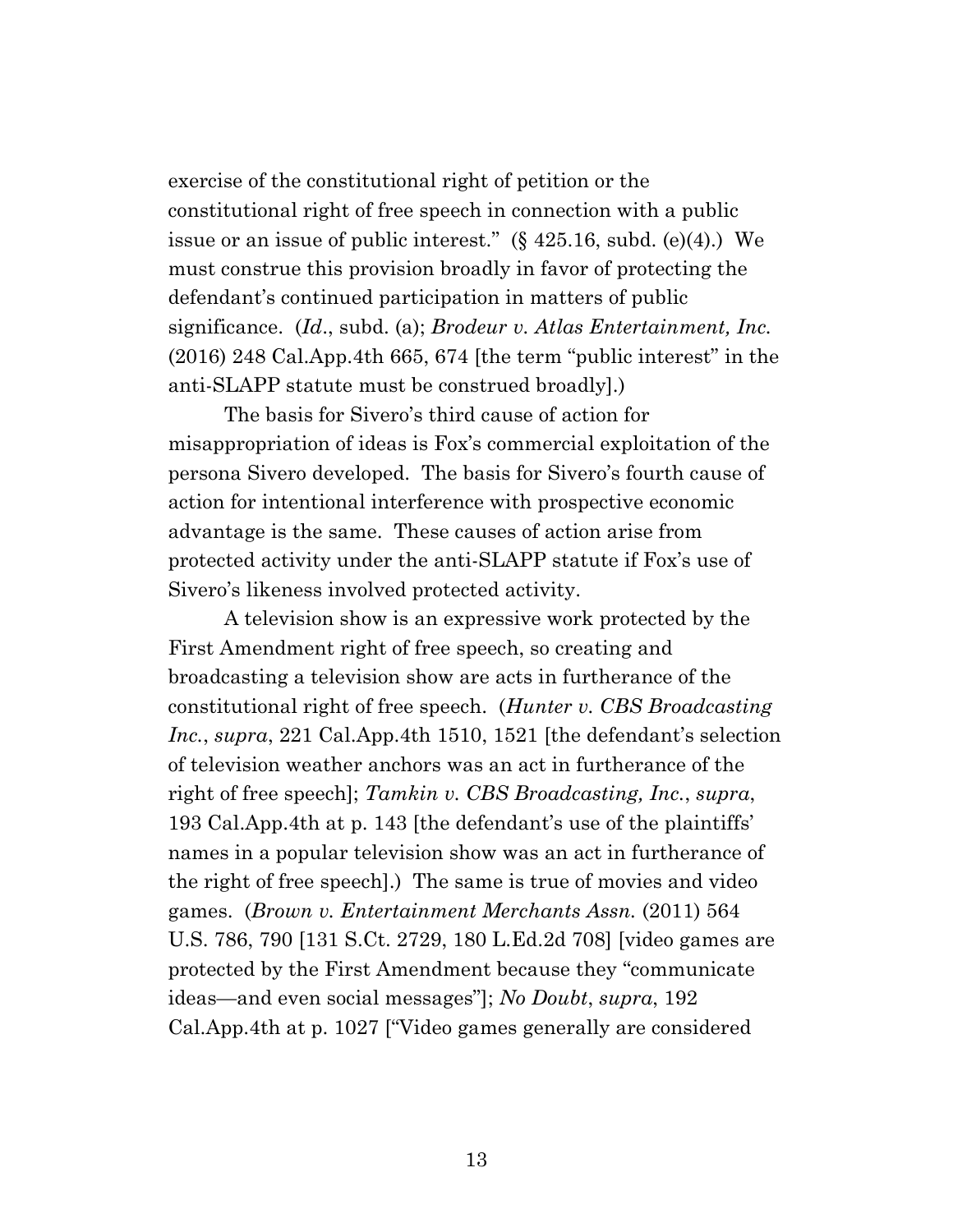exercise of the constitutional right of petition or the constitutional right of free speech in connection with a public issue or an issue of public interest."  $(\S 425.16, \text{subd.} (e)(4))$ . We must construe this provision broadly in favor of protecting the defendant's continued participation in matters of public significance. (*Id*., subd. (a); *Brodeur v. Atlas Entertainment, Inc.*  (2016) 248 Cal.App.4th 665, 674 [the term "public interest" in the anti-SLAPP statute must be construed broadly].)

The basis for Sivero's third cause of action for misappropriation of ideas is Fox's commercial exploitation of the persona Sivero developed. The basis for Sivero's fourth cause of action for intentional interference with prospective economic advantage is the same. These causes of action arise from protected activity under the anti-SLAPP statute if Fox's use of Sivero's likeness involved protected activity.

A television show is an expressive work protected by the First Amendment right of free speech, so creating and broadcasting a television show are acts in furtherance of the constitutional right of free speech. (*Hunter v. CBS Broadcasting Inc.*, *supra*, 221 Cal.App.4th 1510, 1521 [the defendant's selection of television weather anchors was an act in furtherance of the right of free speech]; *Tamkin v. CBS Broadcasting, Inc.*, *supra*, 193 Cal.App.4th at p. 143 [the defendant's use of the plaintiffs' names in a popular television show was an act in furtherance of the right of free speech].) The same is true of movies and video games. (*Brown v. Entertainment Merchants Assn.* (2011) 564 U.S. 786, 790 [131 S.Ct. 2729, 180 L.Ed.2d 708] [video games are protected by the First Amendment because they "communicate ideas—and even social messages"]; *No Doubt*, *supra*, 192 Cal.App.4th at p. 1027 ["Video games generally are considered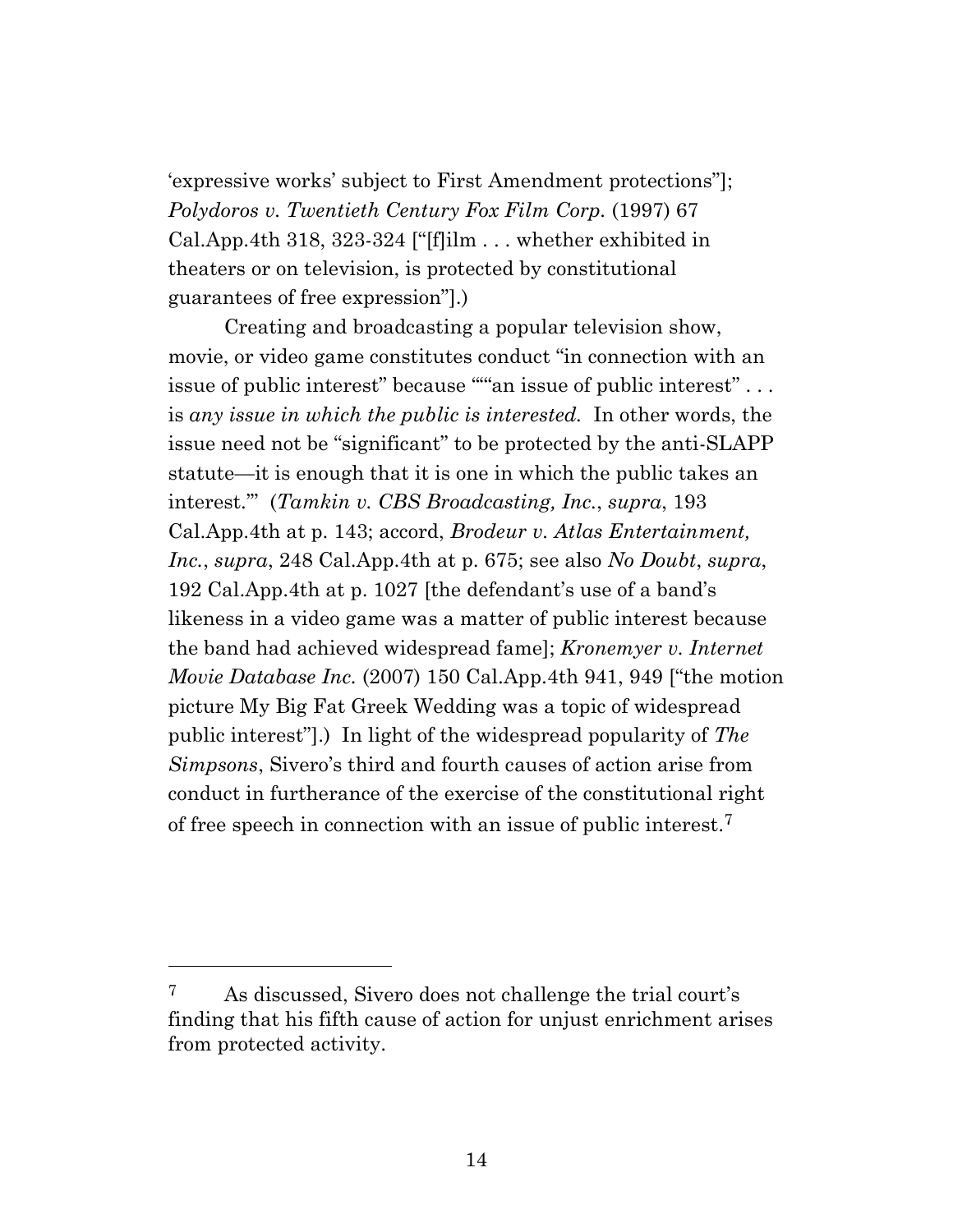'expressive works' subject to First Amendment protections"]; *Polydoros v. Twentieth Century Fox Film Corp.* (1997) 67 Cal.App.4th 318, 323-324 ["[f]ilm . . . whether exhibited in theaters or on television, is protected by constitutional guarantees of free expression"].)

Creating and broadcasting a popular television show, movie, or video game constitutes conduct "in connection with an issue of public interest" because ""an issue of public interest"... is *any issue in which the public is interested.* In other words, the issue need not be "significant" to be protected by the anti-SLAPP statute—it is enough that it is one in which the public takes an interest.'" (*Tamkin v. CBS Broadcasting, Inc.*, *supra*, 193 Cal.App.4th at p. 143; accord, *Brodeur v. Atlas Entertainment, Inc.*, *supra*, 248 Cal.App.4th at p. 675; see also *No Doubt*, *supra*, 192 Cal.App.4th at p. 1027 [the defendant's use of a band's likeness in a video game was a matter of public interest because the band had achieved widespread fame]; *Kronemyer v. Internet Movie Database Inc.* (2007) 150 Cal.App.4th 941, 949 ["the motion picture My Big Fat Greek Wedding was a topic of widespread public interest"].) In light of the widespread popularity of *The Simpsons*, Sivero's third and fourth causes of action arise from conduct in furtherance of the exercise of the constitutional right of free speech in connection with an issue of public interest. 7

<sup>7</sup> As discussed, Sivero does not challenge the trial court's finding that his fifth cause of action for unjust enrichment arises from protected activity.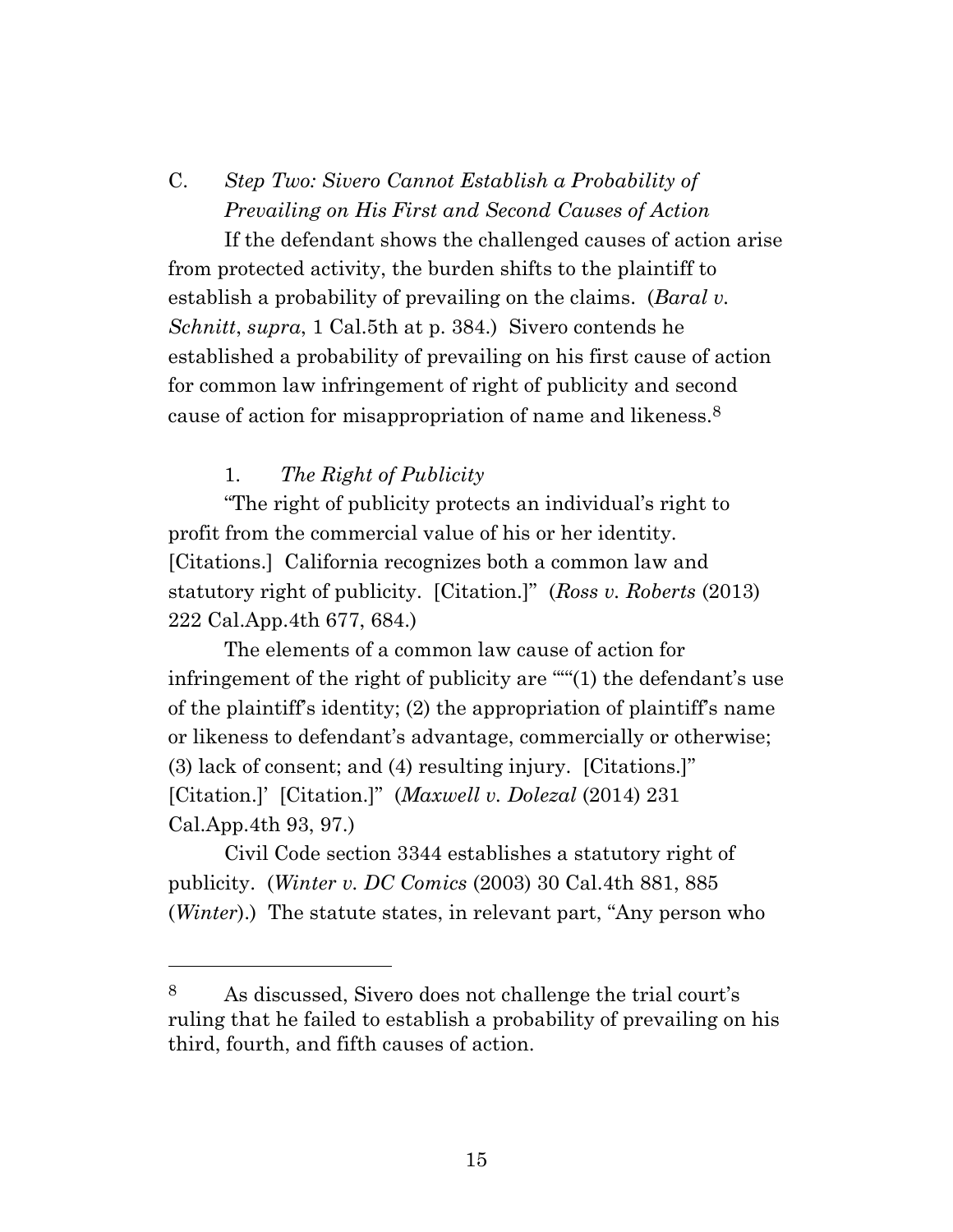C. *Step Two: Sivero Cannot Establish a Probability of Prevailing on His First and Second Causes of Action*

If the defendant shows the challenged causes of action arise from protected activity, the burden shifts to the plaintiff to establish a probability of prevailing on the claims. (*Baral v. Schnitt*, *supra*, 1 Cal.5th at p. 384.) Sivero contends he established a probability of prevailing on his first cause of action for common law infringement of right of publicity and second cause of action for misappropriation of name and likeness.<sup>8</sup>

### 1. *The Right of Publicity*

"The right of publicity protects an individual's right to profit from the commercial value of his or her identity. [Citations.] California recognizes both a common law and statutory right of publicity. [Citation.]" (*Ross v. Roberts* (2013) 222 Cal.App.4th 677, 684.)

The elements of a common law cause of action for infringement of the right of publicity are "'"(1) the defendant's use of the plaintiff's identity; (2) the appropriation of plaintiff's name or likeness to defendant's advantage, commercially or otherwise; (3) lack of consent; and (4) resulting injury. [Citations.]" [Citation.]' [Citation.]" (*Maxwell v. Dolezal* (2014) 231 Cal.App.4th 93, 97.)

Civil Code section 3344 establishes a statutory right of publicity. (*Winter v. DC Comics* (2003) 30 Cal.4th 881, 885 (*Winter*).) The statute states, in relevant part, "Any person who

<sup>8</sup> As discussed, Sivero does not challenge the trial court's ruling that he failed to establish a probability of prevailing on his third, fourth, and fifth causes of action.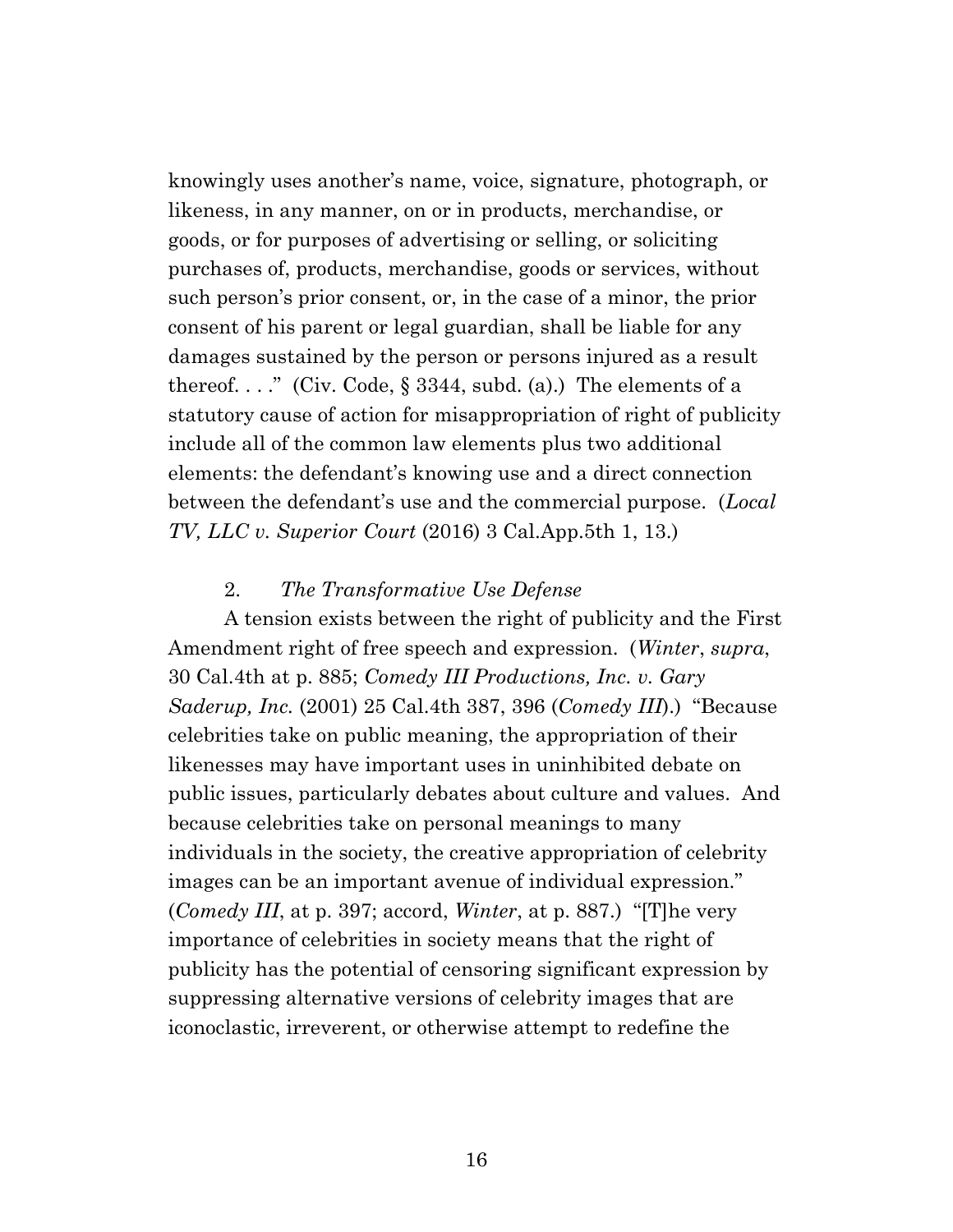knowingly uses another's name, voice, signature, photograph, or likeness, in any manner, on or in products, merchandise, or goods, or for purposes of advertising or selling, or soliciting purchases of, products, merchandise, goods or services, without such person's prior consent, or, in the case of a minor, the prior consent of his parent or legal guardian, shall be liable for any damages sustained by the person or persons injured as a result thereof...." (Civ. Code,  $\S 3344$ , subd. (a).) The elements of a statutory cause of action for misappropriation of right of publicity include all of the common law elements plus two additional elements: the defendant's knowing use and a direct connection between the defendant's use and the commercial purpose. (*Local TV, LLC v. Superior Court* (2016) 3 Cal.App.5th 1, 13.)

#### 2. *The Transformative Use Defense*

A tension exists between the right of publicity and the First Amendment right of free speech and expression. (*Winter*, *supra*, 30 Cal.4th at p. 885; *Comedy III Productions, Inc. v. Gary Saderup, Inc.* (2001) 25 Cal.4th 387, 396 (*Comedy III*).) "Because celebrities take on public meaning, the appropriation of their likenesses may have important uses in uninhibited debate on public issues, particularly debates about culture and values. And because celebrities take on personal meanings to many individuals in the society, the creative appropriation of celebrity images can be an important avenue of individual expression." (*Comedy III*, at p. 397; accord, *Winter*, at p. 887.) "[T]he very importance of celebrities in society means that the right of publicity has the potential of censoring significant expression by suppressing alternative versions of celebrity images that are iconoclastic, irreverent, or otherwise attempt to redefine the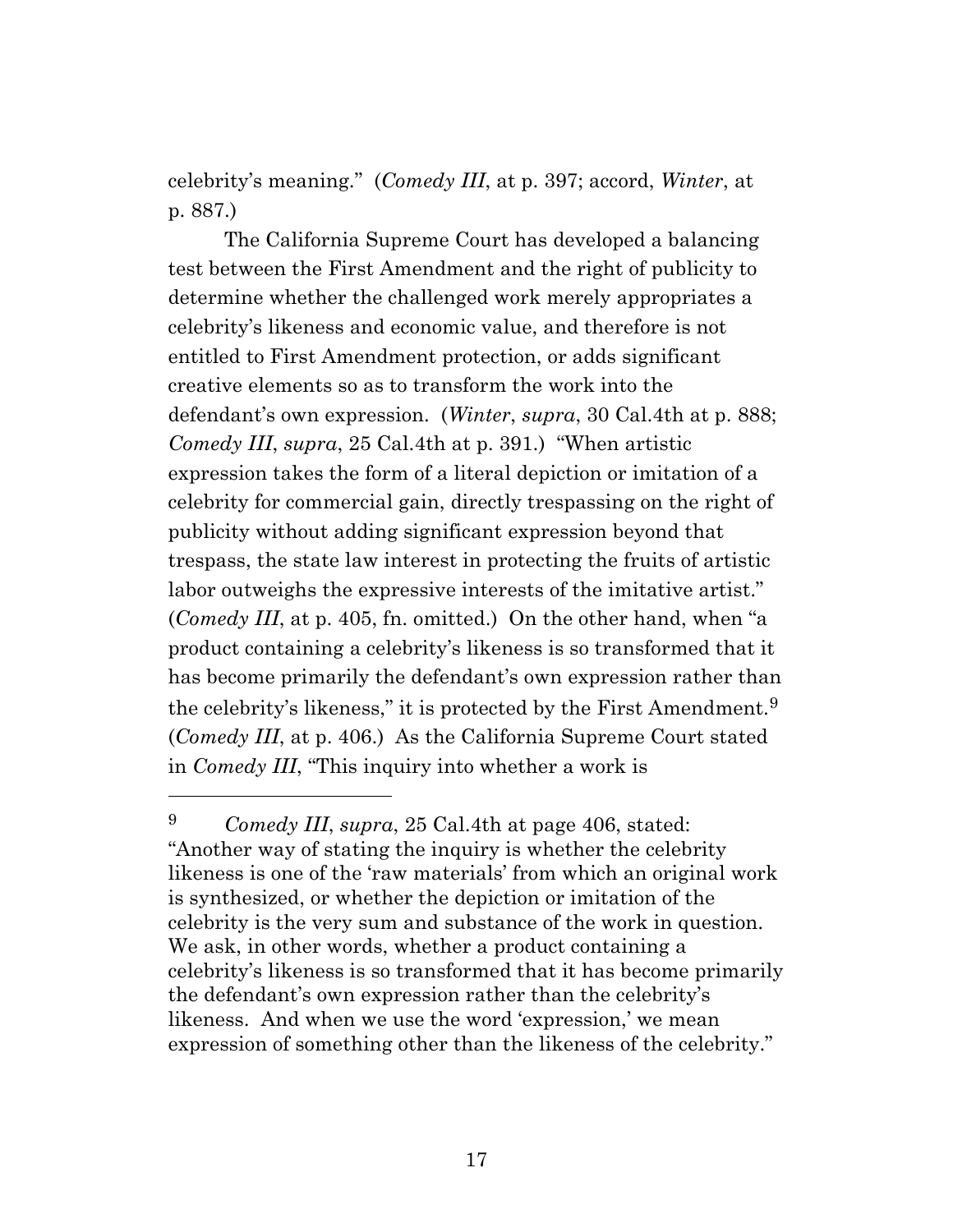celebrity's meaning." (*Comedy III*, at p. 397; accord, *Winter*, at p. 887.)

The California Supreme Court has developed a balancing test between the First Amendment and the right of publicity to determine whether the challenged work merely appropriates a celebrity's likeness and economic value, and therefore is not entitled to First Amendment protection, or adds significant creative elements so as to transform the work into the defendant's own expression. (*Winter*, *supra*, 30 Cal.4th at p. 888; *Comedy III*, *supra*, 25 Cal.4th at p. 391.) "When artistic expression takes the form of a literal depiction or imitation of a celebrity for commercial gain, directly trespassing on the right of publicity without adding significant expression beyond that trespass, the state law interest in protecting the fruits of artistic labor outweighs the expressive interests of the imitative artist." (*Comedy III*, at p. 405, fn. omitted.) On the other hand, when "a product containing a celebrity's likeness is so transformed that it has become primarily the defendant's own expression rather than the celebrity's likeness," it is protected by the First Amendment.<sup>9</sup> (*Comedy III*, at p. 406.) As the California Supreme Court stated in *Comedy III*, "This inquiry into whether a work is

<sup>9</sup> *Comedy III*, *supra*, 25 Cal.4th at page 406, stated: "Another way of stating the inquiry is whether the celebrity likeness is one of the 'raw materials' from which an original work is synthesized, or whether the depiction or imitation of the celebrity is the very sum and substance of the work in question. We ask, in other words, whether a product containing a celebrity's likeness is so transformed that it has become primarily the defendant's own expression rather than the celebrity's likeness. And when we use the word 'expression,' we mean expression of something other than the likeness of the celebrity."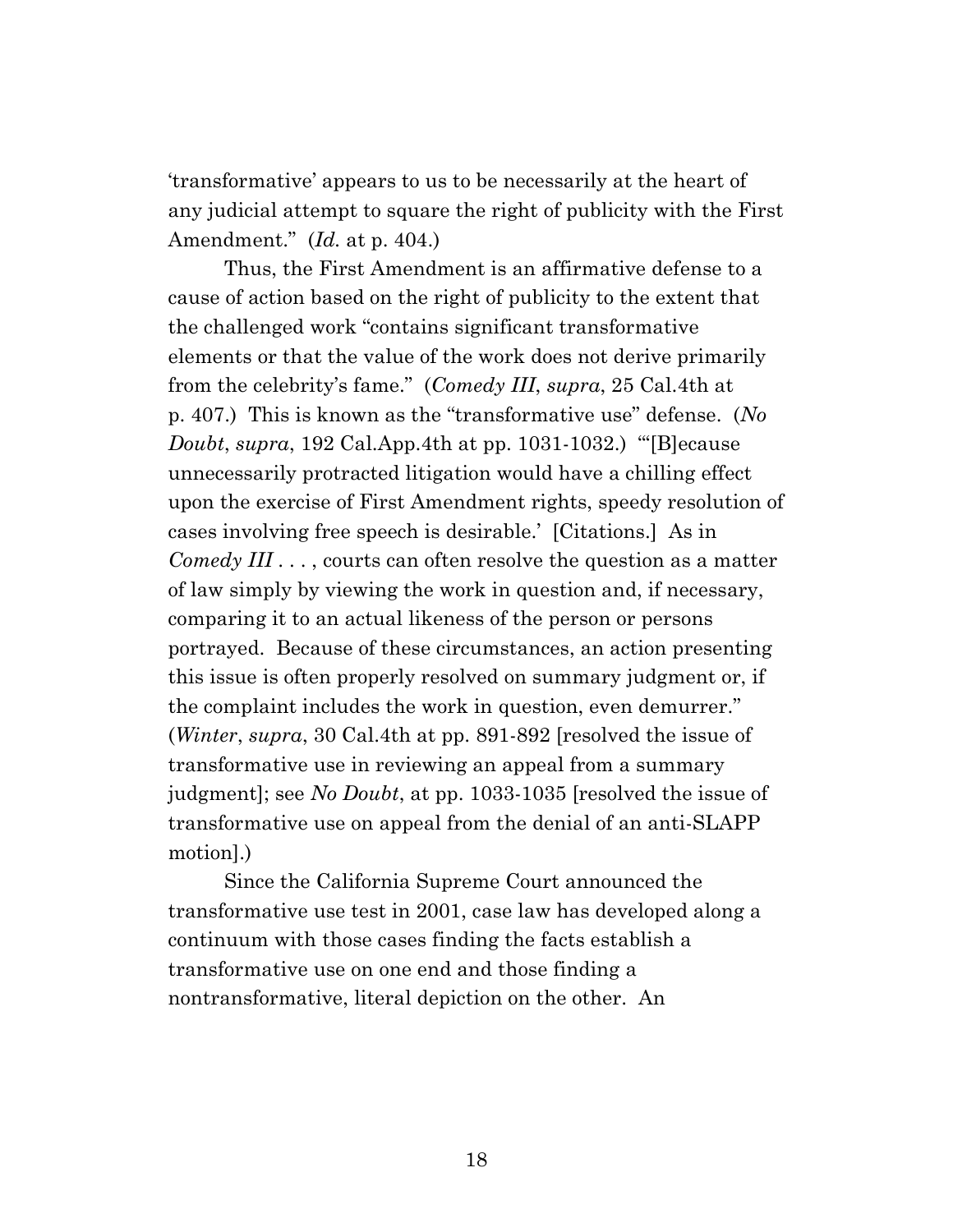'transformative' appears to us to be necessarily at the heart of any judicial attempt to square the right of publicity with the First Amendment." (*Id.* at p. 404.)

Thus, the First Amendment is an affirmative defense to a cause of action based on the right of publicity to the extent that the challenged work "contains significant transformative elements or that the value of the work does not derive primarily from the celebrity's fame." (*Comedy III*, *supra*, 25 Cal.4th at p. 407.) This is known as the "transformative use" defense. (*No Doubt*, *supra*, 192 Cal.App.4th at pp. 1031-1032.) "'[B]ecause unnecessarily protracted litigation would have a chilling effect upon the exercise of First Amendment rights, speedy resolution of cases involving free speech is desirable.' [Citations.] As in *Comedy III* . . . , courts can often resolve the question as a matter of law simply by viewing the work in question and, if necessary, comparing it to an actual likeness of the person or persons portrayed. Because of these circumstances, an action presenting this issue is often properly resolved on summary judgment or, if the complaint includes the work in question, even demurrer." (*Winter*, *supra*, 30 Cal.4th at pp. 891-892 [resolved the issue of transformative use in reviewing an appeal from a summary judgment]; see *No Doubt*, at pp. 1033-1035 [resolved the issue of transformative use on appeal from the denial of an anti-SLAPP motion].)

Since the California Supreme Court announced the transformative use test in 2001, case law has developed along a continuum with those cases finding the facts establish a transformative use on one end and those finding a nontransformative, literal depiction on the other. An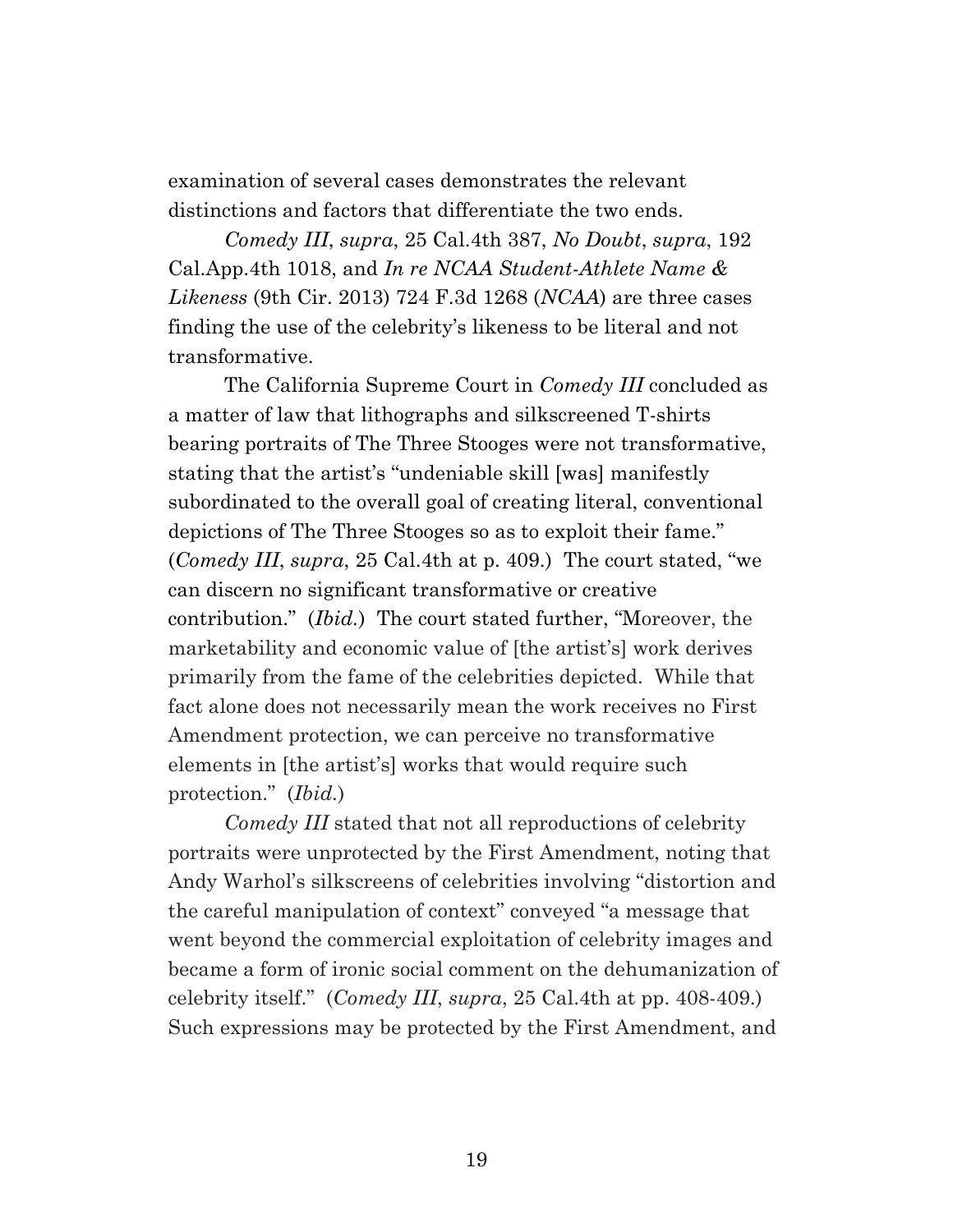examination of several cases demonstrates the relevant distinctions and factors that differentiate the two ends.

*Comedy III*, *supra*, 25 Cal.4th 387, *No Doubt*, *supra*, 192 Cal.App.4th 1018, and *In re NCAA Student-Athlete Name & Likeness* (9th Cir. 2013) 724 F.3d 1268 (*NCAA*) are three cases finding the use of the celebrity's likeness to be literal and not transformative.

The California Supreme Court in *Comedy III* concluded as a matter of law that lithographs and silkscreened T-shirts bearing portraits of The Three Stooges were not transformative, stating that the artist's "undeniable skill [was] manifestly subordinated to the overall goal of creating literal, conventional depictions of The Three Stooges so as to exploit their fame." (*Comedy III*, *supra*, 25 Cal.4th at p. 409.) The court stated, "we can discern no significant transformative or creative contribution." (*Ibid.*) The court stated further, "Moreover, the marketability and economic value of [the artist's] work derives primarily from the fame of the celebrities depicted. While that fact alone does not necessarily mean the work receives no First Amendment protection, we can perceive no transformative elements in [the artist's] works that would require such protection." (*Ibid.*)

*Comedy III* stated that not all reproductions of celebrity portraits were unprotected by the First Amendment, noting that Andy Warhol's silkscreens of celebrities involving "distortion and the careful manipulation of context" conveyed "a message that went beyond the commercial exploitation of celebrity images and became a form of ironic social comment on the dehumanization of celebrity itself." (*Comedy III*, *supra*, 25 Cal.4th at pp. 408-409.) Such expressions may be protected by the First Amendment, and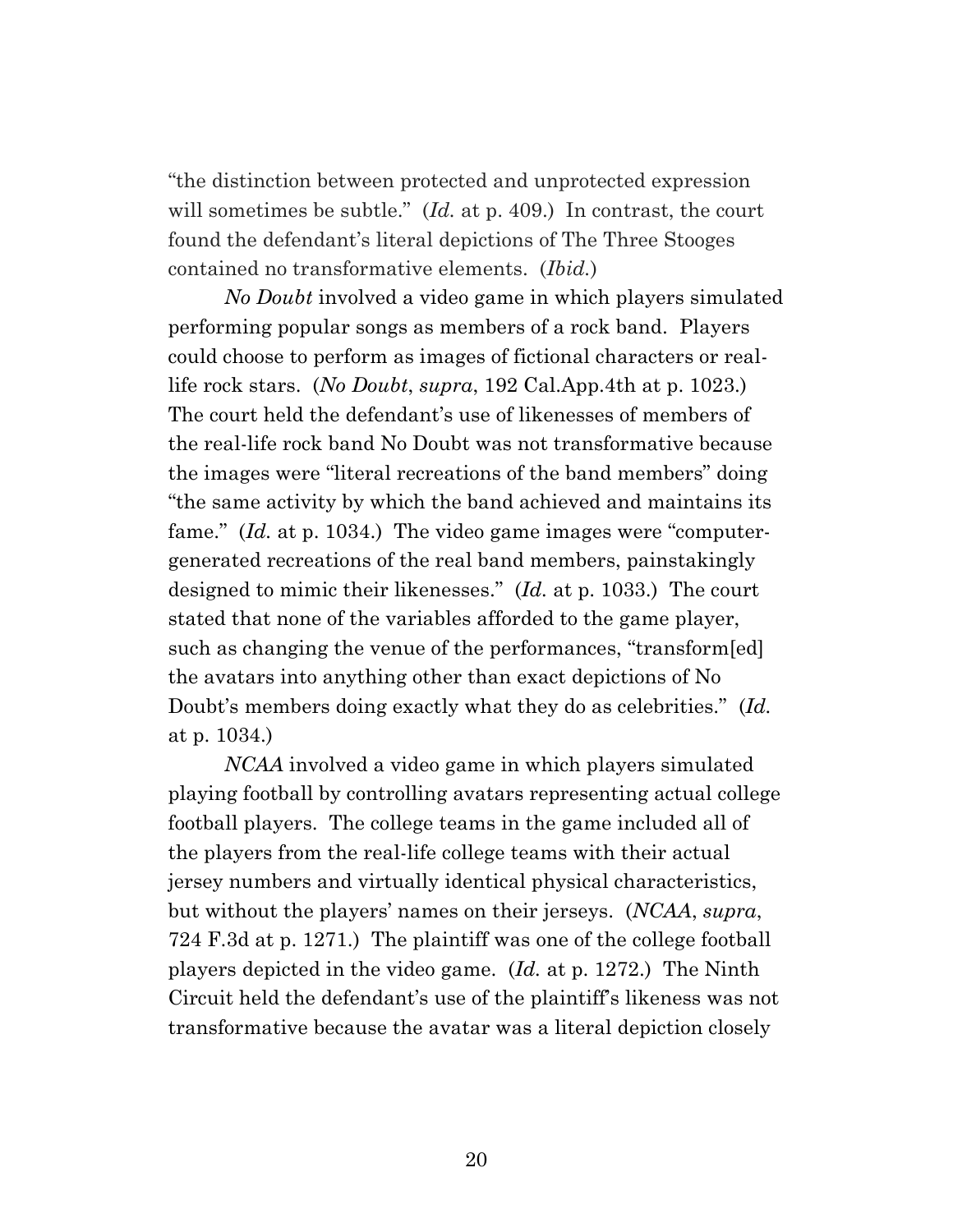"the distinction between protected and unprotected expression will sometimes be subtle." (*Id.* at p. 409.) In contrast, the court found the defendant's literal depictions of The Three Stooges contained no transformative elements. (*Ibid.*)

*No Doubt* involved a video game in which players simulated performing popular songs as members of a rock band. Players could choose to perform as images of fictional characters or reallife rock stars. (*No Doubt*, *supra*, 192 Cal.App.4th at p. 1023.) The court held the defendant's use of likenesses of members of the real-life rock band No Doubt was not transformative because the images were "literal recreations of the band members" doing "the same activity by which the band achieved and maintains its fame." (*Id.* at p. 1034.) The video game images were "computergenerated recreations of the real band members, painstakingly designed to mimic their likenesses." (*Id.* at p. 1033.) The court stated that none of the variables afforded to the game player, such as changing the venue of the performances, "transform[ed] the avatars into anything other than exact depictions of No Doubt's members doing exactly what they do as celebrities." (*Id.* at p. 1034.)

*NCAA* involved a video game in which players simulated playing football by controlling avatars representing actual college football players. The college teams in the game included all of the players from the real-life college teams with their actual jersey numbers and virtually identical physical characteristics, but without the players' names on their jerseys. (*NCAA*, *supra*, 724 F.3d at p. 1271.) The plaintiff was one of the college football players depicted in the video game. (*Id.* at p. 1272.) The Ninth Circuit held the defendant's use of the plaintiff's likeness was not transformative because the avatar was a literal depiction closely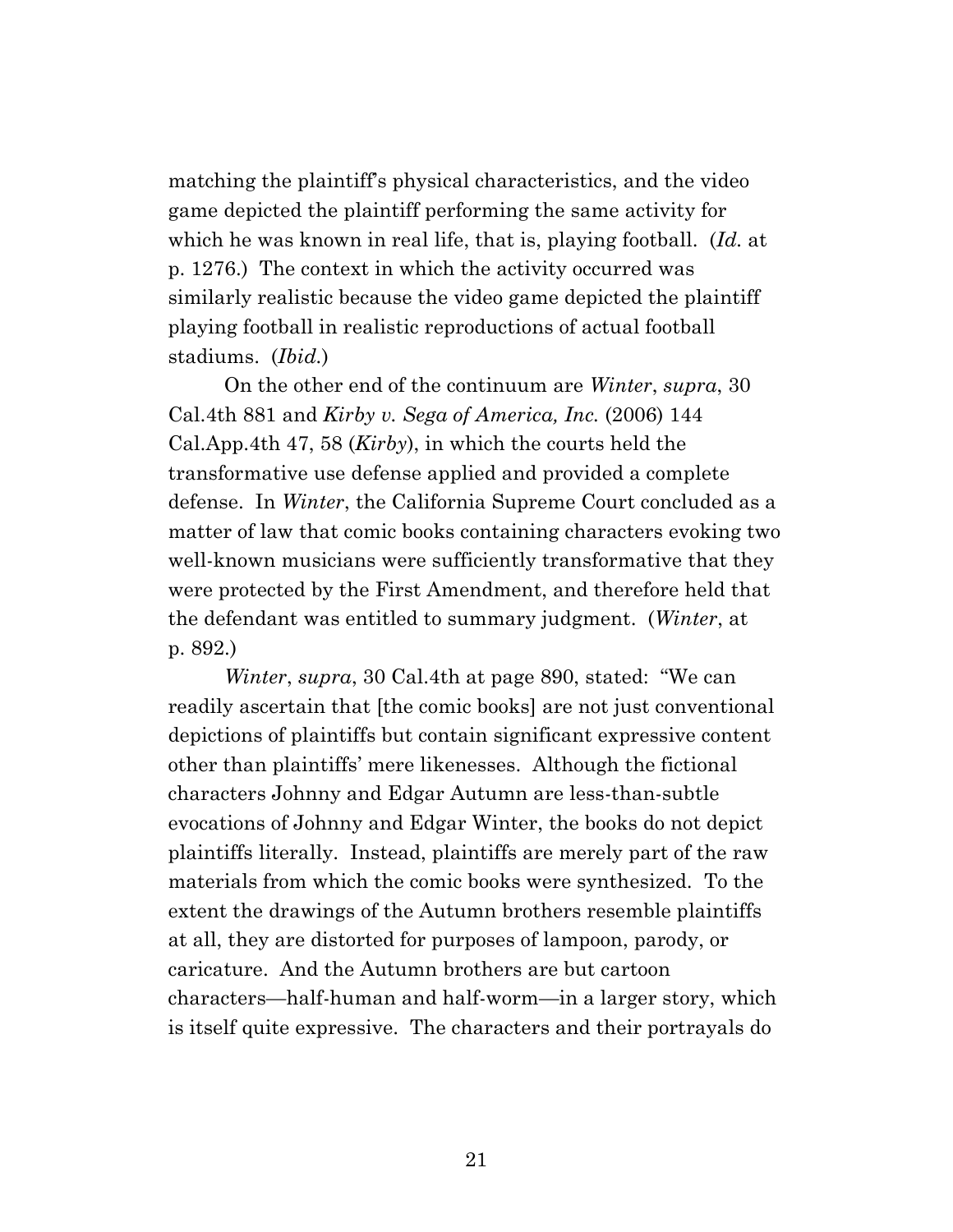matching the plaintiff's physical characteristics, and the video game depicted the plaintiff performing the same activity for which he was known in real life, that is, playing football. (*Id.* at p. 1276.) The context in which the activity occurred was similarly realistic because the video game depicted the plaintiff playing football in realistic reproductions of actual football stadiums. (*Ibid.*)

On the other end of the continuum are *Winter*, *supra*, 30 Cal.4th 881 and *Kirby v. Sega of America, Inc.* (2006) 144 Cal.App.4th 47, 58 (*Kirby*), in which the courts held the transformative use defense applied and provided a complete defense. In *Winter*, the California Supreme Court concluded as a matter of law that comic books containing characters evoking two well-known musicians were sufficiently transformative that they were protected by the First Amendment, and therefore held that the defendant was entitled to summary judgment. (*Winter*, at p. 892.)

*Winter*, *supra*, 30 Cal.4th at page 890, stated: "We can readily ascertain that [the comic books] are not just conventional depictions of plaintiffs but contain significant expressive content other than plaintiffs' mere likenesses. Although the fictional characters Johnny and Edgar Autumn are less-than-subtle evocations of Johnny and Edgar Winter, the books do not depict plaintiffs literally. Instead, plaintiffs are merely part of the raw materials from which the comic books were synthesized. To the extent the drawings of the Autumn brothers resemble plaintiffs at all, they are distorted for purposes of lampoon, parody, or caricature. And the Autumn brothers are but cartoon characters—half-human and half-worm—in a larger story, which is itself quite expressive. The characters and their portrayals do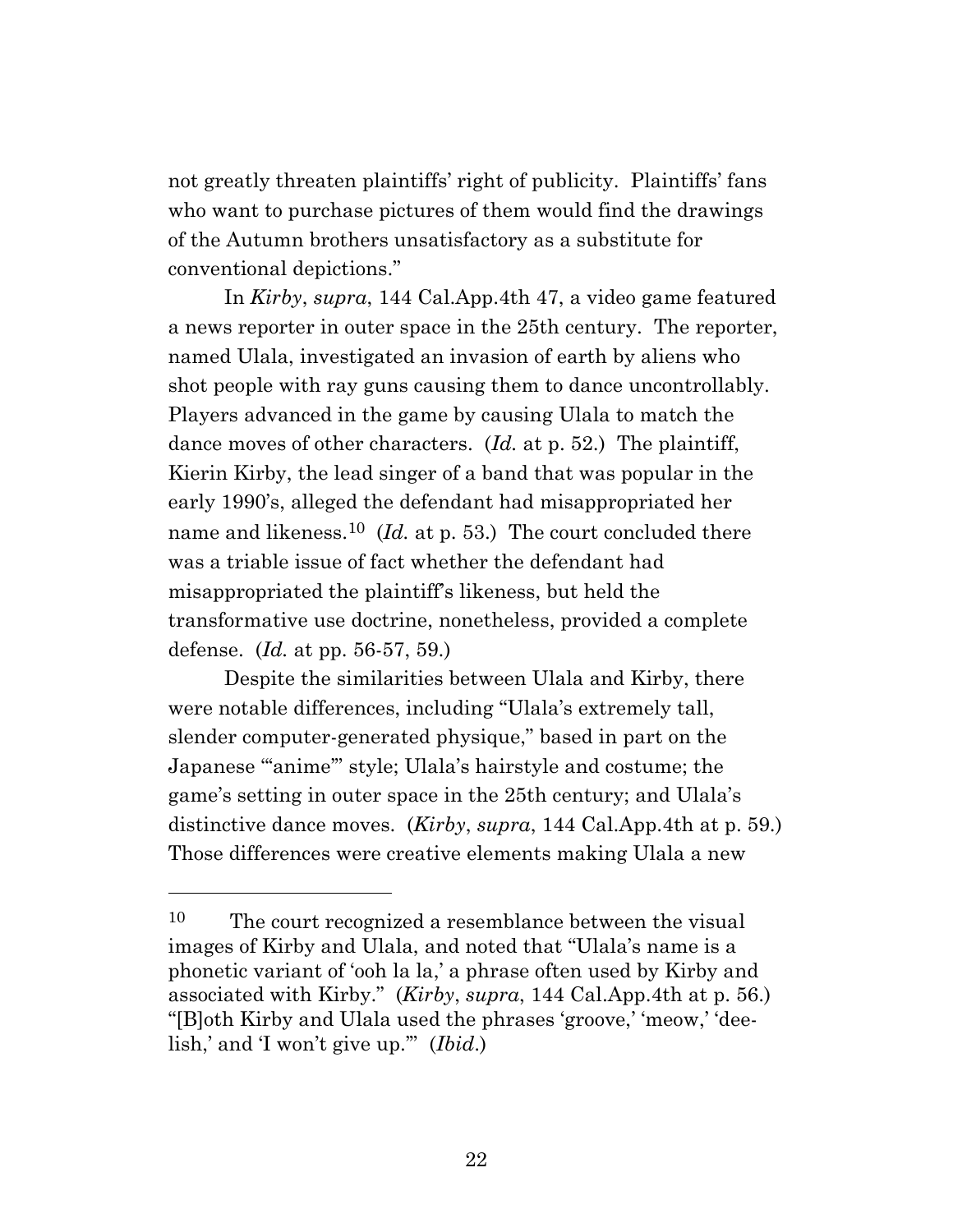not greatly threaten plaintiffs' right of publicity. Plaintiffs' fans who want to purchase pictures of them would find the drawings of the Autumn brothers unsatisfactory as a substitute for conventional depictions."

In *Kirby*, *supra*, 144 Cal.App.4th 47, a video game featured a news reporter in outer space in the 25th century. The reporter, named Ulala, investigated an invasion of earth by aliens who shot people with ray guns causing them to dance uncontrollably. Players advanced in the game by causing Ulala to match the dance moves of other characters. (*Id.* at p. 52.) The plaintiff, Kierin Kirby, the lead singer of a band that was popular in the early 1990's, alleged the defendant had misappropriated her name and likeness. <sup>10</sup> (*Id.* at p. 53.) The court concluded there was a triable issue of fact whether the defendant had misappropriated the plaintiff's likeness, but held the transformative use doctrine, nonetheless, provided a complete defense. (*Id.* at pp. 56-57, 59.)

Despite the similarities between Ulala and Kirby, there were notable differences, including "Ulala's extremely tall, slender computer-generated physique," based in part on the Japanese "'anime'" style; Ulala's hairstyle and costume; the game's setting in outer space in the 25th century; and Ulala's distinctive dance moves. (*Kirby*, *supra*, 144 Cal.App.4th at p. 59.) Those differences were creative elements making Ulala a new

<sup>10</sup> The court recognized a resemblance between the visual images of Kirby and Ulala, and noted that "Ulala's name is a phonetic variant of 'ooh la la,' a phrase often used by Kirby and associated with Kirby." (*Kirby*, *supra*, 144 Cal.App.4th at p. 56.) "[B]oth Kirby and Ulala used the phrases 'groove,' 'meow,' 'deelish,' and 'I won't give up.'" (*Ibid*.)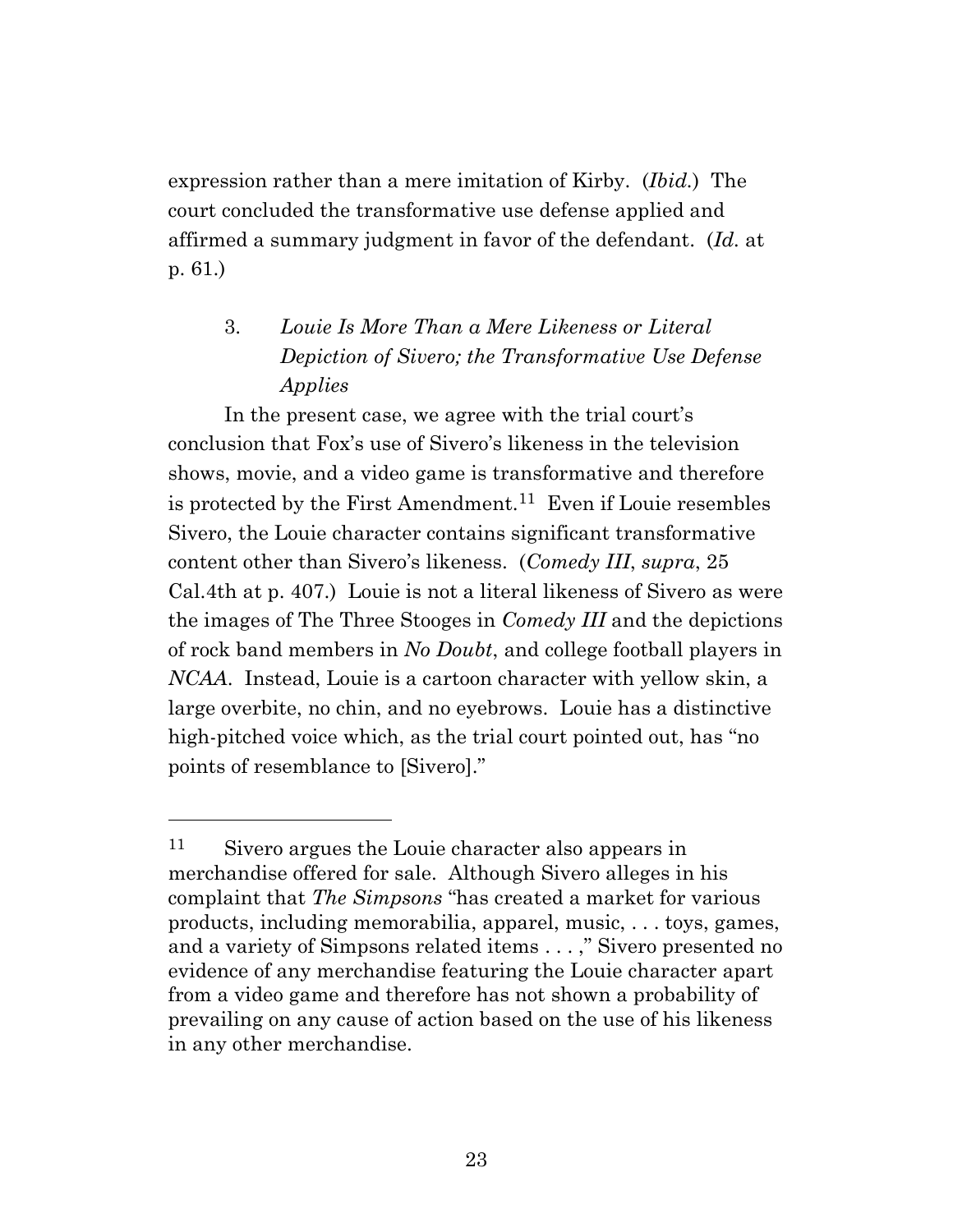expression rather than a mere imitation of Kirby. (*Ibid.*) The court concluded the transformative use defense applied and affirmed a summary judgment in favor of the defendant. (*Id.* at p. 61.)

# 3. *Louie Is More Than a Mere Likeness or Literal Depiction of Sivero; the Transformative Use Defense Applies*

In the present case, we agree with the trial court's conclusion that Fox's use of Sivero's likeness in the television shows, movie, and a video game is transformative and therefore is protected by the First Amendment.<sup>11</sup> Even if Louie resembles Sivero, the Louie character contains significant transformative content other than Sivero's likeness. (*Comedy III*, *supra*, 25 Cal.4th at p. 407.) Louie is not a literal likeness of Sivero as were the images of The Three Stooges in *Comedy III* and the depictions of rock band members in *No Doubt*, and college football players in *NCAA*. Instead, Louie is a cartoon character with yellow skin, a large overbite, no chin, and no eyebrows. Louie has a distinctive high-pitched voice which, as the trial court pointed out, has "no points of resemblance to [Sivero]."

<sup>11</sup> Sivero argues the Louie character also appears in merchandise offered for sale. Although Sivero alleges in his complaint that *The Simpsons* "has created a market for various products, including memorabilia, apparel, music, . . . toys, games, and a variety of Simpsons related items . . . ," Sivero presented no evidence of any merchandise featuring the Louie character apart from a video game and therefore has not shown a probability of prevailing on any cause of action based on the use of his likeness in any other merchandise.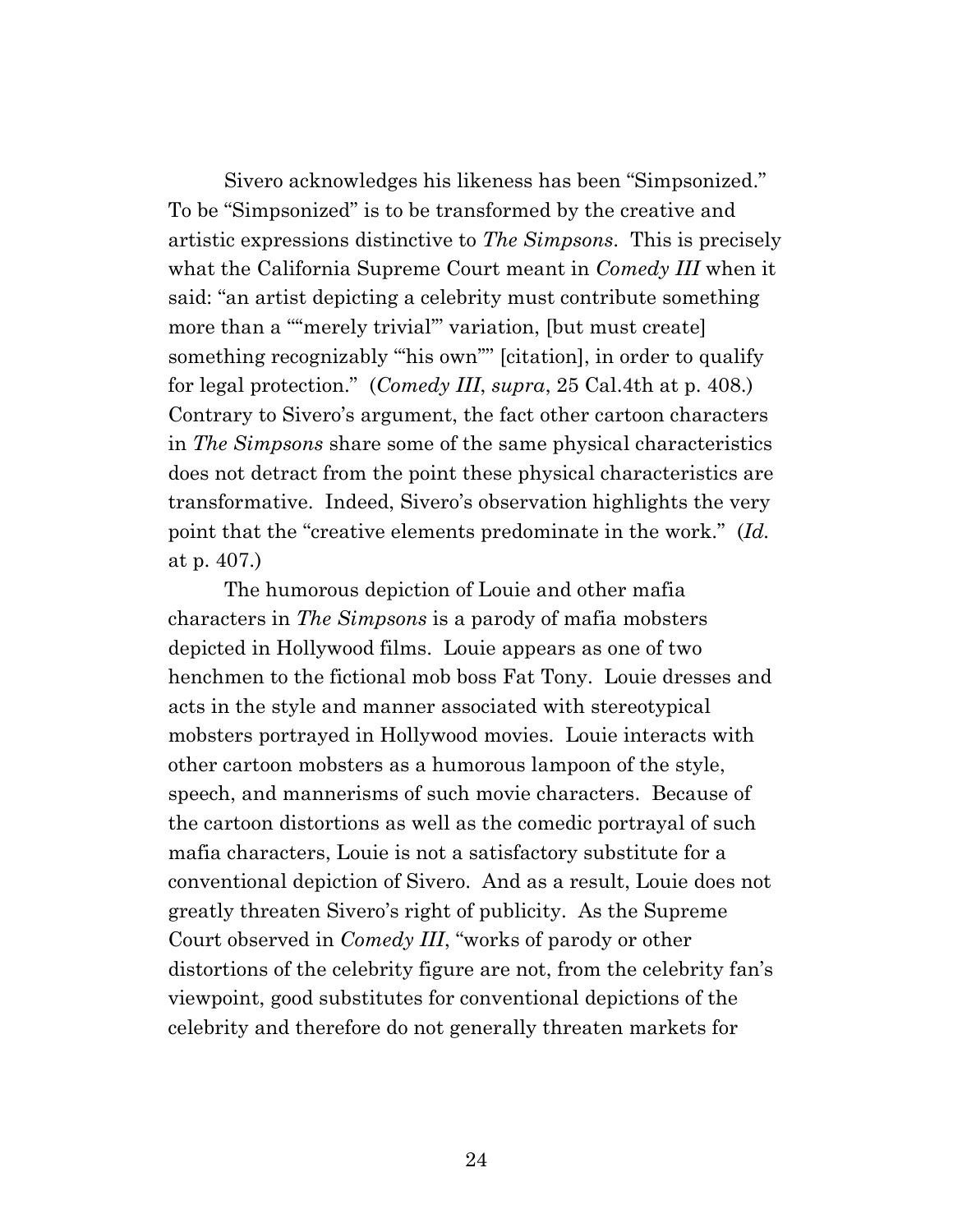Sivero acknowledges his likeness has been "Simpsonized." To be "Simpsonized" is to be transformed by the creative and artistic expressions distinctive to *The Simpsons*. This is precisely what the California Supreme Court meant in *Comedy III* when it said: "an artist depicting a celebrity must contribute something more than a ""merely trivial" variation, [but must create] something recognizably "his own" [citation], in order to qualify for legal protection." (*Comedy III*, *supra*, 25 Cal.4th at p. 408.) Contrary to Sivero's argument, the fact other cartoon characters in *The Simpsons* share some of the same physical characteristics does not detract from the point these physical characteristics are transformative. Indeed, Sivero's observation highlights the very point that the "creative elements predominate in the work." (*Id.* at p. 407.)

The humorous depiction of Louie and other mafia characters in *The Simpsons* is a parody of mafia mobsters depicted in Hollywood films. Louie appears as one of two henchmen to the fictional mob boss Fat Tony. Louie dresses and acts in the style and manner associated with stereotypical mobsters portrayed in Hollywood movies. Louie interacts with other cartoon mobsters as a humorous lampoon of the style, speech, and mannerisms of such movie characters. Because of the cartoon distortions as well as the comedic portrayal of such mafia characters, Louie is not a satisfactory substitute for a conventional depiction of Sivero. And as a result, Louie does not greatly threaten Sivero's right of publicity. As the Supreme Court observed in *Comedy III*, "works of parody or other distortions of the celebrity figure are not, from the celebrity fan's viewpoint, good substitutes for conventional depictions of the celebrity and therefore do not generally threaten markets for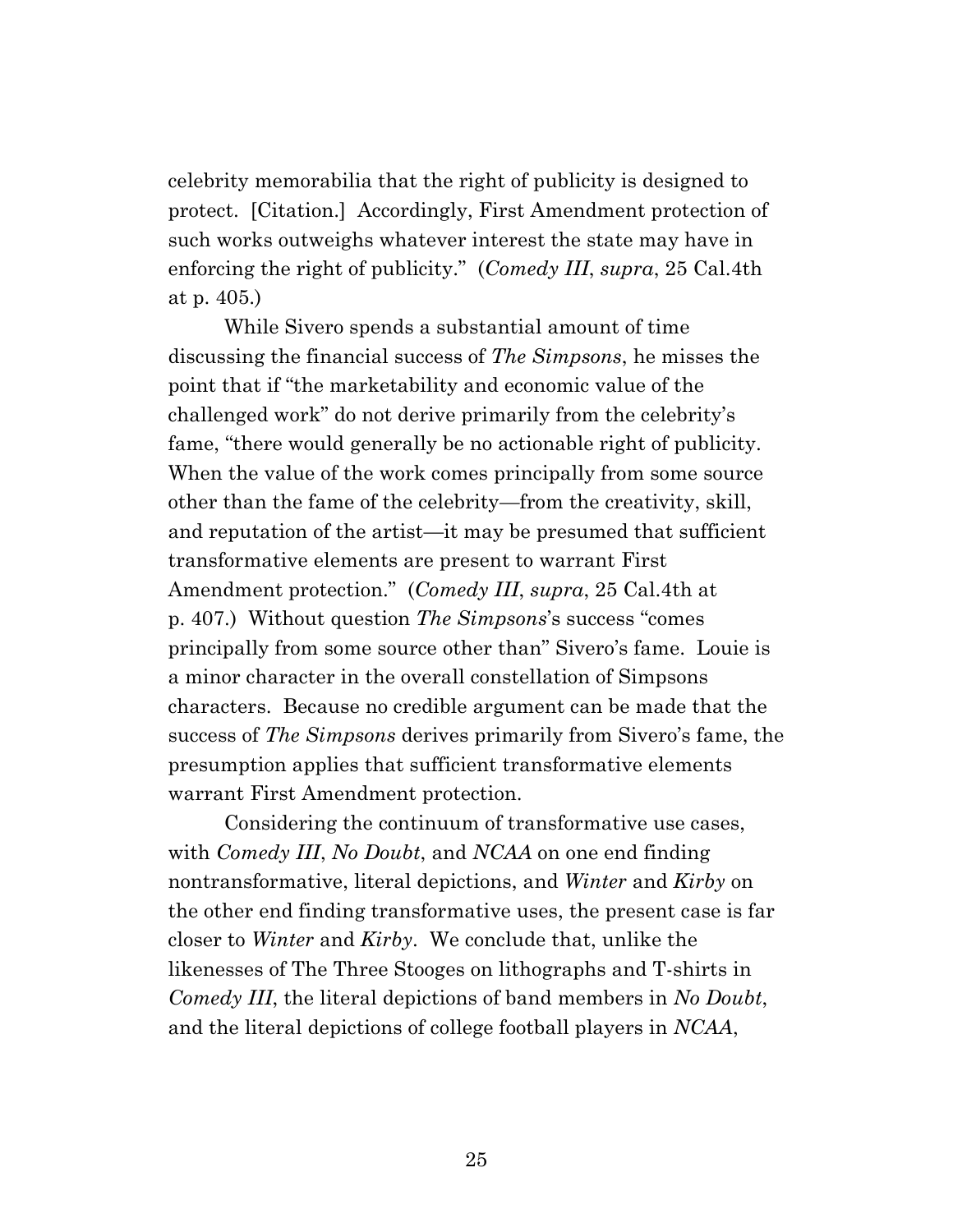celebrity memorabilia that the right of publicity is designed to protect. [Citation.] Accordingly, First Amendment protection of such works outweighs whatever interest the state may have in enforcing the right of publicity." (*Comedy III*, *supra*, 25 Cal.4th at p. 405.)

While Sivero spends a substantial amount of time discussing the financial success of *The Simpsons*, he misses the point that if "the marketability and economic value of the challenged work" do not derive primarily from the celebrity's fame, "there would generally be no actionable right of publicity. When the value of the work comes principally from some source other than the fame of the celebrity—from the creativity, skill, and reputation of the artist—it may be presumed that sufficient transformative elements are present to warrant First Amendment protection." (*Comedy III*, *supra*, 25 Cal.4th at p. 407.) Without question *The Simpsons*'s success "comes principally from some source other than" Sivero's fame. Louie is a minor character in the overall constellation of Simpsons characters. Because no credible argument can be made that the success of *The Simpsons* derives primarily from Sivero's fame, the presumption applies that sufficient transformative elements warrant First Amendment protection.

Considering the continuum of transformative use cases, with *Comedy III*, *No Doubt*, and *NCAA* on one end finding nontransformative, literal depictions, and *Winter* and *Kirby* on the other end finding transformative uses, the present case is far closer to *Winter* and *Kirby*. We conclude that, unlike the likenesses of The Three Stooges on lithographs and T-shirts in *Comedy III*, the literal depictions of band members in *No Doubt*, and the literal depictions of college football players in *NCAA*,